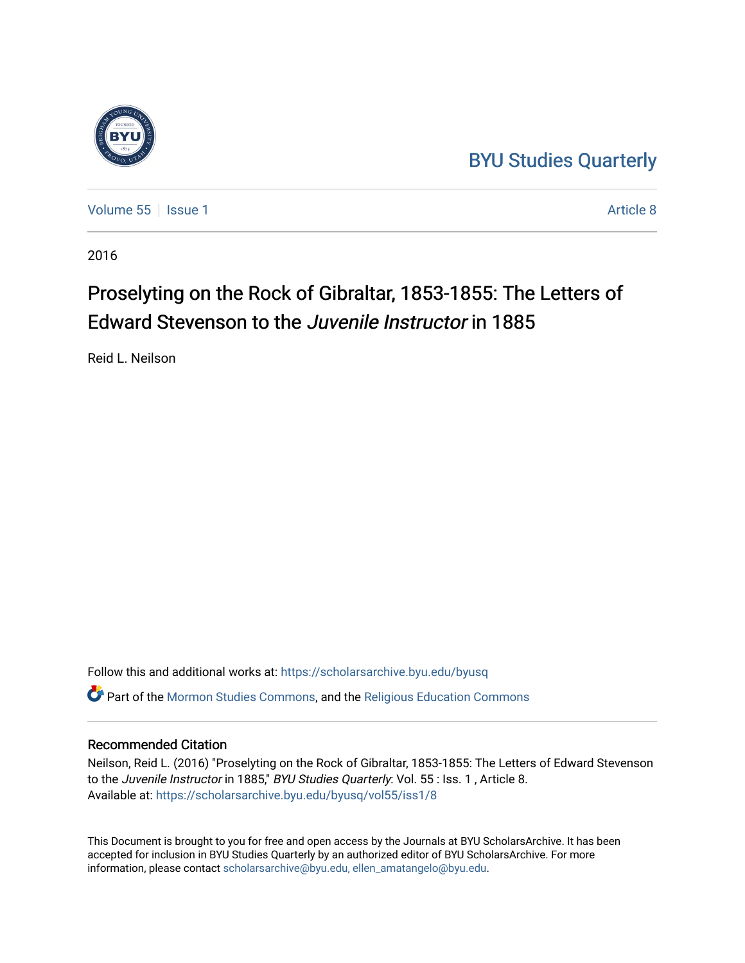## [BYU Studies Quarterly](https://scholarsarchive.byu.edu/byusq)

[Volume 55](https://scholarsarchive.byu.edu/byusq/vol55) | [Issue 1](https://scholarsarchive.byu.edu/byusq/vol55/iss1) Article 8

2016

# Proselyting on the Rock of Gibraltar, 1853-1855: The Letters of Edward Stevenson to the *Juvenile Instructor* in 1885

Reid L. Neilson

Follow this and additional works at: [https://scholarsarchive.byu.edu/byusq](https://scholarsarchive.byu.edu/byusq?utm_source=scholarsarchive.byu.edu%2Fbyusq%2Fvol55%2Fiss1%2F8&utm_medium=PDF&utm_campaign=PDFCoverPages)  Part of the [Mormon Studies Commons](http://network.bepress.com/hgg/discipline/1360?utm_source=scholarsarchive.byu.edu%2Fbyusq%2Fvol55%2Fiss1%2F8&utm_medium=PDF&utm_campaign=PDFCoverPages), and the [Religious Education Commons](http://network.bepress.com/hgg/discipline/1414?utm_source=scholarsarchive.byu.edu%2Fbyusq%2Fvol55%2Fiss1%2F8&utm_medium=PDF&utm_campaign=PDFCoverPages) 

#### Recommended Citation

Neilson, Reid L. (2016) "Proselyting on the Rock of Gibraltar, 1853-1855: The Letters of Edward Stevenson to the Juvenile Instructor in 1885," BYU Studies Quarterly: Vol. 55 : Iss. 1, Article 8. Available at: [https://scholarsarchive.byu.edu/byusq/vol55/iss1/8](https://scholarsarchive.byu.edu/byusq/vol55/iss1/8?utm_source=scholarsarchive.byu.edu%2Fbyusq%2Fvol55%2Fiss1%2F8&utm_medium=PDF&utm_campaign=PDFCoverPages)

This Document is brought to you for free and open access by the Journals at BYU ScholarsArchive. It has been accepted for inclusion in BYU Studies Quarterly by an authorized editor of BYU ScholarsArchive. For more information, please contact [scholarsarchive@byu.edu, ellen\\_amatangelo@byu.edu.](mailto:scholarsarchive@byu.edu,%20ellen_amatangelo@byu.edu)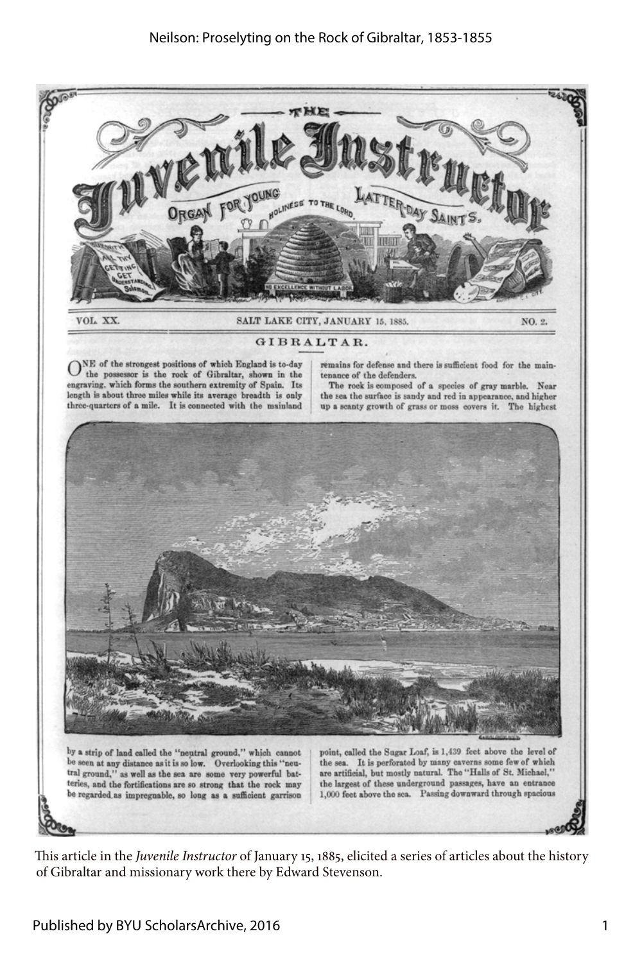

This article in the *Juvenile Instructor* of January 15, 1885, elicited a series of articles about the history of Gibraltar and missionary work there by Edward Stevenson.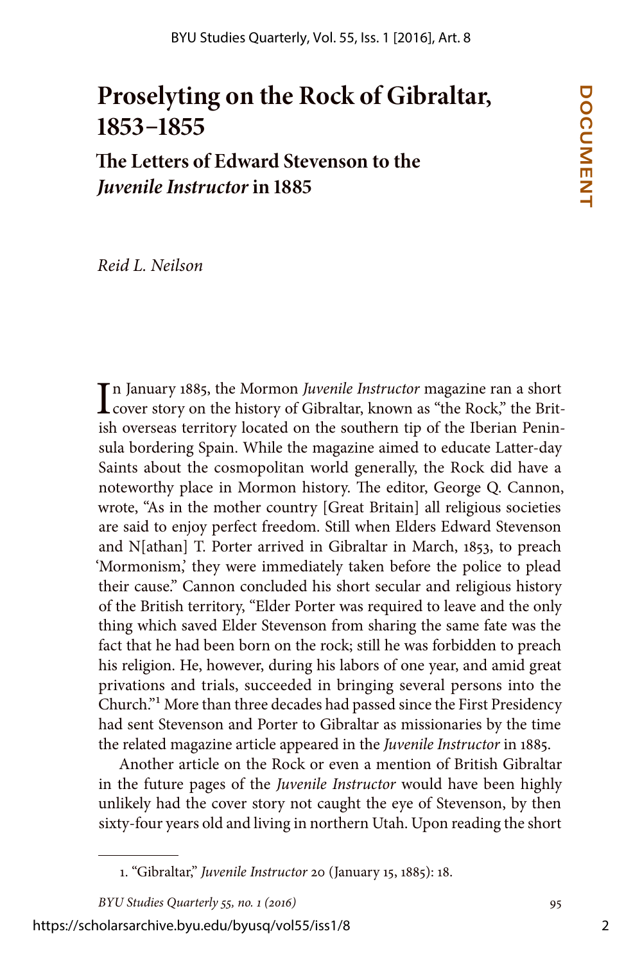# **Proselyting on the Rock of Gibraltar, 1853–1855**

**The Letters of Edward Stevenson to the**  *Juvenile Instructor* **in 1885**

*Reid L. Neilson*

In January 1885, the Mormon *Juvenile Instructor* magazine ran a short<br>cover story on the history of Gibraltar, known as "the Rock," the Britcover story on the history of Gibraltar, known as "the Rock," the British overseas territory located on the southern tip of the Iberian Peninsula bordering Spain. While the magazine aimed to educate Latter-day Saints about the cosmopolitan world generally, the Rock did have a noteworthy place in Mormon history. The editor, George Q. Cannon, wrote, "As in the mother country [Great Britain] all religious societies are said to enjoy perfect freedom. Still when Elders Edward Stevenson and N[athan] T. Porter arrived in Gibraltar in March, 1853, to preach 'Mormonism,' they were immediately taken before the police to plead their cause." Cannon concluded his short secular and religious history of the British territory, "Elder Porter was required to leave and the only thing which saved Elder Stevenson from sharing the same fate was the fact that he had been born on the rock; still he was forbidden to preach his religion. He, however, during his labors of one year, and amid great privations and trials, succeeded in bringing several persons into the Church."1 More than three decades had passed since the First Presidency had sent Stevenson and Porter to Gibraltar as missionaries by the time the related magazine article appeared in the *Juvenile Instructor* in 1885.

Another article on the Rock or even a mention of British Gibraltar in the future pages of the *Juvenile Instructor* would have been highly unlikely had the cover story not caught the eye of Stevenson, by then sixty-four years old and living in northern Utah. Upon reading the short

https://scholarsarchive.byu.edu/byusq/vol55/iss1/8

<sup>1. &</sup>quot;Gibraltar," *Juvenile Instructor* 20 (January 15, 1885): 18.

*BYU Studies Quarterly 55, no. 1 (2016)* 95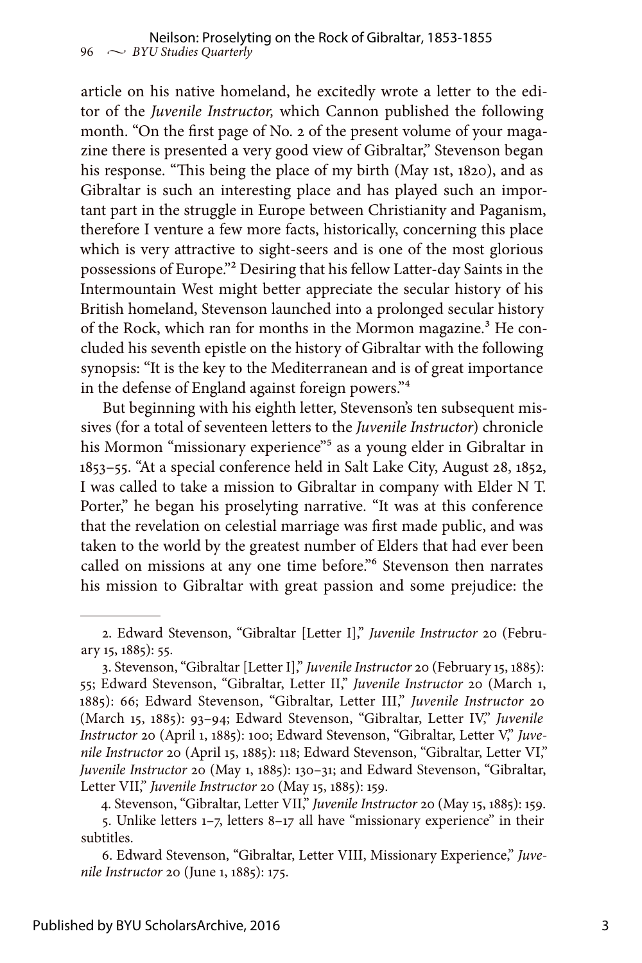article on his native homeland, he excitedly wrote a letter to the editor of the *Juvenile Instructor,* which Cannon published the following month. "On the first page of No. 2 of the present volume of your magazine there is presented a very good view of Gibraltar," Stevenson began his response. "This being the place of my birth (May 1st, 1820), and as Gibraltar is such an interesting place and has played such an important part in the struggle in Europe between Christianity and Paganism, therefore I venture a few more facts, historically, concerning this place which is very attractive to sight-seers and is one of the most glorious possessions of Europe."2 Desiring that his fellow Latter-day Saints in the Intermountain West might better appreciate the secular history of his British homeland, Stevenson launched into a prolonged secular history of the Rock, which ran for months in the Mormon magazine.<sup>3</sup> He concluded his seventh epistle on the history of Gibraltar with the following synopsis: "It is the key to the Mediterranean and is of great importance in the defense of England against foreign powers."4

But beginning with his eighth letter, Stevenson's ten subsequent missives (for a total of seventeen letters to the *Juvenile Instructor*) chronicle his Mormon "missionary experience"<sup>5</sup> as a young elder in Gibraltar in 1853–55. "At a special conference held in Salt Lake City, August 28, 1852, I was called to take a mission to Gibraltar in company with Elder N T. Porter," he began his proselyting narrative. "It was at this conference that the revelation on celestial marriage was first made public, and was taken to the world by the greatest number of Elders that had ever been called on missions at any one time before."6 Stevenson then narrates his mission to Gibraltar with great passion and some prejudice: the

<sup>2.</sup> Edward Stevenson, "Gibraltar [Letter I]," *Juvenile Instructor* 20 (February 15, 1885): 55.

<sup>3.</sup> Stevenson, "Gibraltar [Letter I]," *Juvenile Instructor* 20 (February 15, 1885): 55; Edward Stevenson, "Gibraltar, Letter II," *Juvenile Instructor* 20 (March 1, 1885): 66; Edward Stevenson, "Gibraltar, Letter III," *Juvenile Instructor* 20 (March 15, 1885): 93–94; Edward Stevenson, "Gibraltar, Letter IV," *Juvenile Instructor* 20 (April 1, 1885): 100; Edward Stevenson, "Gibraltar, Letter V," *Juvenile Instructor* 20 (April 15, 1885): 118; Edward Stevenson, "Gibraltar, Letter VI," *Juvenile Instructor* 20 (May 1, 1885): 130–31; and Edward Stevenson, "Gibraltar, Letter VII," *Juvenile Instructor* 20 (May 15, 1885): 159.

<sup>4.</sup> Stevenson, "Gibraltar, Letter VII," *Juvenile Instructor* 20 (May 15, 1885): 159. 5. Unlike letters 1–7, letters 8–17 all have "missionary experience" in their subtitles.

<sup>6.</sup> Edward Stevenson, "Gibraltar, Letter VIII, Missionary Experience," *Juvenile Instructor* 20 (June 1, 1885): 175.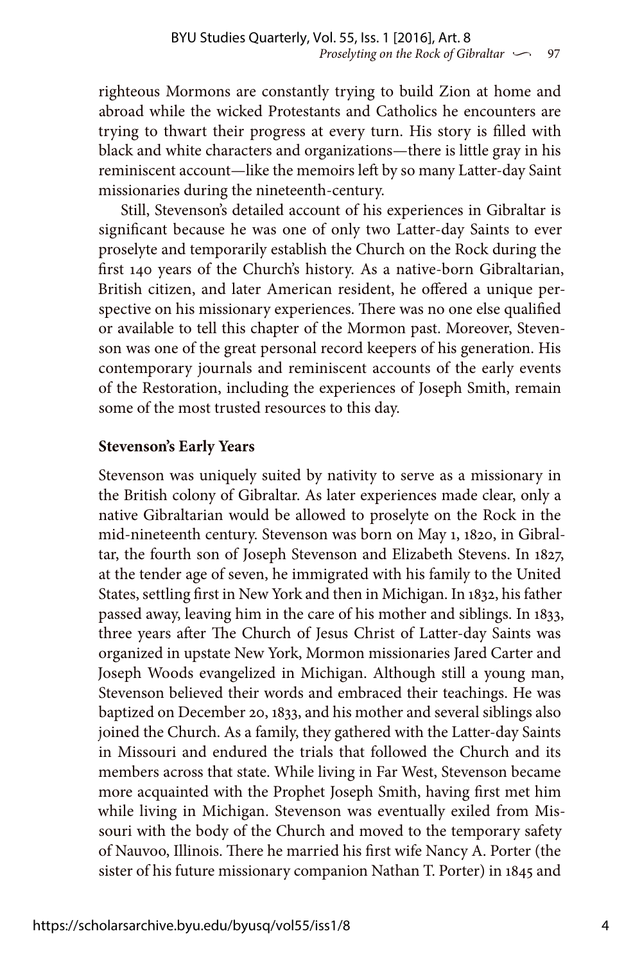righteous Mormons are constantly trying to build Zion at home and abroad while the wicked Protestants and Catholics he encounters are trying to thwart their progress at every turn. His story is filled with black and white characters and organizations—there is little gray in his reminiscent account—like the memoirs left by so many Latter-day Saint missionaries during the nineteenth-century.

Still, Stevenson's detailed account of his experiences in Gibraltar is significant because he was one of only two Latter-day Saints to ever proselyte and temporarily establish the Church on the Rock during the first 140 years of the Church's history. As a native-born Gibraltarian, British citizen, and later American resident, he offered a unique perspective on his missionary experiences. There was no one else qualified or available to tell this chapter of the Mormon past. Moreover, Stevenson was one of the great personal record keepers of his generation. His contemporary journals and reminiscent accounts of the early events of the Restoration, including the experiences of Joseph Smith, remain some of the most trusted resources to this day.

#### **Stevenson's Early Years**

Stevenson was uniquely suited by nativity to serve as a missionary in the British colony of Gibraltar. As later experiences made clear, only a native Gibraltarian would be allowed to proselyte on the Rock in the mid-nineteenth century. Stevenson was born on May 1, 1820, in Gibraltar, the fourth son of Joseph Stevenson and Elizabeth Stevens. In 1827, at the tender age of seven, he immigrated with his family to the United States, settling first in New York and then in Michigan. In 1832, his father passed away, leaving him in the care of his mother and siblings. In 1833, three years after The Church of Jesus Christ of Latter-day Saints was organized in upstate New York, Mormon missionaries Jared Carter and Joseph Woods evangelized in Michigan. Although still a young man, Stevenson believed their words and embraced their teachings. He was baptized on December 20, 1833, and his mother and several siblings also joined the Church. As a family, they gathered with the Latter-day Saints in Missouri and endured the trials that followed the Church and its members across that state. While living in Far West, Stevenson became more acquainted with the Prophet Joseph Smith, having first met him while living in Michigan. Stevenson was eventually exiled from Missouri with the body of the Church and moved to the temporary safety of Nauvoo, Illinois. There he married his first wife Nancy A. Porter (the sister of his future missionary companion Nathan T. Porter) in 1845 and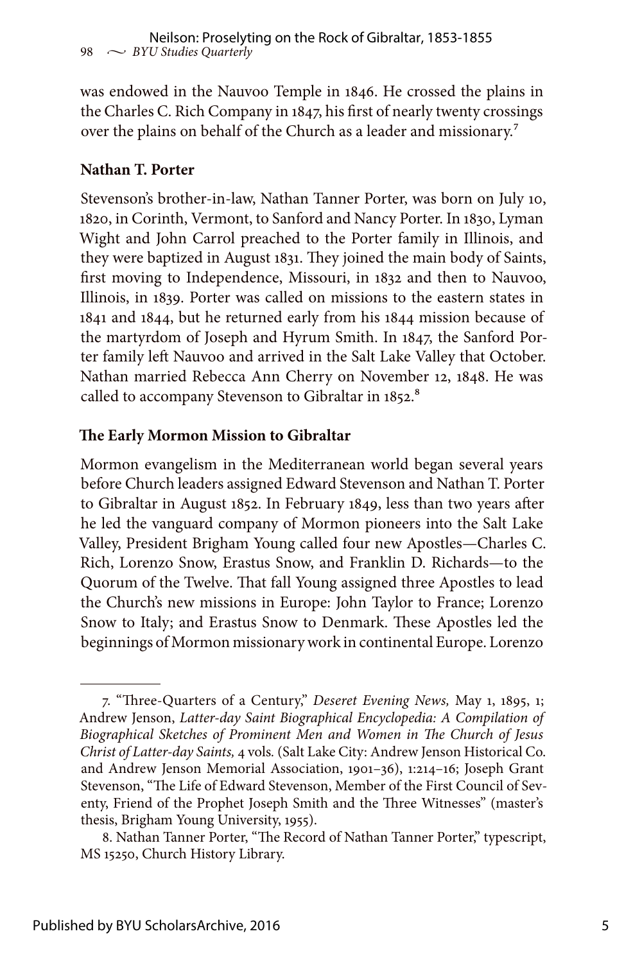was endowed in the Nauvoo Temple in 1846. He crossed the plains in the Charles C. Rich Company in 1847, his first of nearly twenty crossings over the plains on behalf of the Church as a leader and missionary.<sup>7</sup>

#### **Nathan T. Porter**

Stevenson's brother-in-law, Nathan Tanner Porter, was born on July 10, 1820, in Corinth, Vermont, to Sanford and Nancy Porter. In 1830, Lyman Wight and John Carrol preached to the Porter family in Illinois, and they were baptized in August 1831. They joined the main body of Saints, first moving to Independence, Missouri, in 1832 and then to Nauvoo, Illinois, in 1839. Porter was called on missions to the eastern states in 1841 and 1844, but he returned early from his 1844 mission because of the martyrdom of Joseph and Hyrum Smith. In 1847, the Sanford Porter family left Nauvoo and arrived in the Salt Lake Valley that October. Nathan married Rebecca Ann Cherry on November 12, 1848. He was called to accompany Stevenson to Gibraltar in 1852.<sup>8</sup>

#### **The Early Mormon Mission to Gibraltar**

Mormon evangelism in the Mediterranean world began several years before Church leaders assigned Edward Stevenson and Nathan T. Porter to Gibraltar in August 1852. In February 1849, less than two years after he led the vanguard company of Mormon pioneers into the Salt Lake Valley, President Brigham Young called four new Apostles—Charles C. Rich, Lorenzo Snow, Erastus Snow, and Franklin D. Richards—to the Quorum of the Twelve. That fall Young assigned three Apostles to lead the Church's new missions in Europe: John Taylor to France; Lorenzo Snow to Italy; and Erastus Snow to Denmark. These Apostles led the beginnings of Mormon missionary work in continental Europe. Lorenzo

<sup>7. &</sup>quot;Three-Quarters of a Century," *Deseret Evening News,* May 1, 1895, 1; Andrew Jenson, *Latter-day Saint Biographical Encyclopedia: A Compilation of Biographical Sketches of Prominent Men and Women in The Church of Jesus Christ of Latter-day Saints,* 4 vols*.* (Salt Lake City: Andrew Jenson Historical Co. and Andrew Jenson Memorial Association, 1901–36), 1:214–16; Joseph Grant Stevenson, "The Life of Edward Stevenson, Member of the First Council of Seventy, Friend of the Prophet Joseph Smith and the Three Witnesses" (master's thesis, Brigham Young University, 1955).

<sup>8.</sup> Nathan Tanner Porter, "The Record of Nathan Tanner Porter," typescript, MS 15250, Church History Library.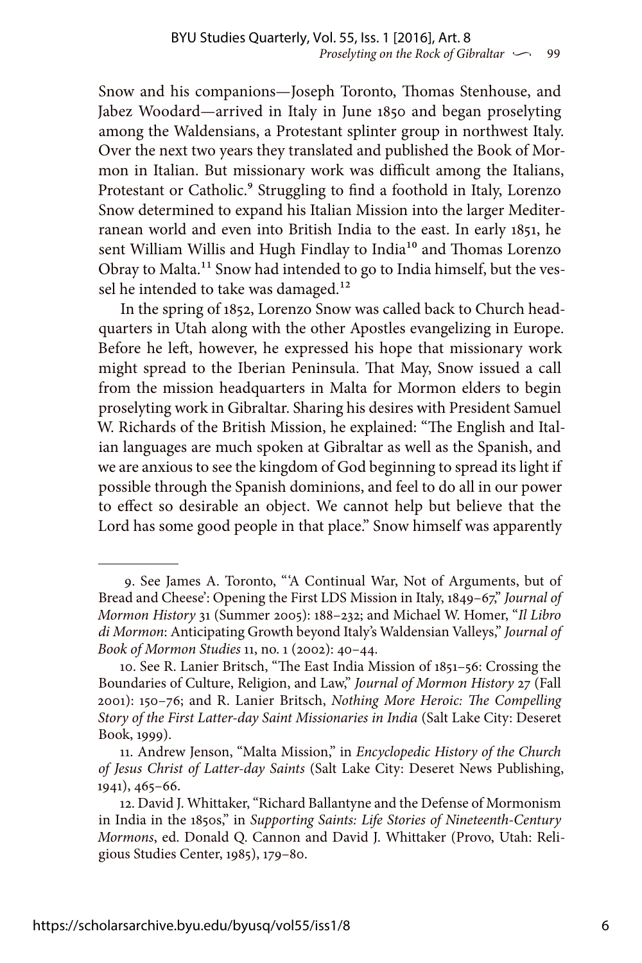Snow and his companions—Joseph Toronto, Thomas Stenhouse, and Jabez Woodard—arrived in Italy in June 1850 and began proselyting among the Waldensians, a Protestant splinter group in northwest Italy. Over the next two years they translated and published the Book of Mormon in Italian. But missionary work was difficult among the Italians, Protestant or Catholic.<sup>9</sup> Struggling to find a foothold in Italy, Lorenzo Snow determined to expand his Italian Mission into the larger Mediterranean world and even into British India to the east. In early 1851, he sent William Willis and Hugh Findlay to India<sup>10</sup> and Thomas Lorenzo Obray to Malta.11 Snow had intended to go to India himself, but the vessel he intended to take was damaged.<sup>12</sup>

In the spring of 1852, Lorenzo Snow was called back to Church headquarters in Utah along with the other Apostles evangelizing in Europe. Before he left, however, he expressed his hope that missionary work might spread to the Iberian Peninsula. That May, Snow issued a call from the mission headquarters in Malta for Mormon elders to begin proselyting work in Gibraltar. Sharing his desires with President Samuel W. Richards of the British Mission, he explained: "The English and Italian languages are much spoken at Gibraltar as well as the Spanish, and we are anxious to see the kingdom of God beginning to spread its light if possible through the Spanish dominions, and feel to do all in our power to effect so desirable an object. We cannot help but believe that the Lord has some good people in that place." Snow himself was apparently

<sup>9.</sup> See James A. Toronto, "'A Continual War, Not of Arguments, but of Bread and Cheese': Opening the First LDS Mission in Italy, 1849–67," *Journal of Mormon History* 31 (Summer 2005): 188–232; and Michael W. Homer, "*Il Libro di Mormon*: Anticipating Growth beyond Italy's Waldensian Valleys," *Journal of Book of Mormon Studies* 11, no. 1 (2002): 40–44.

<sup>10.</sup> See R. Lanier Britsch, "The East India Mission of 1851–56: Crossing the Boundaries of Culture, Religion, and Law," *Journal of Mormon History* 27 (Fall 2001): 150–76; and R. Lanier Britsch, *Nothing More Heroic: The Compelling Story of the First Latter-day Saint Missionaries in India* (Salt Lake City: Deseret Book, 1999).

<sup>11.</sup> Andrew Jenson, "Malta Mission," in *Encyclopedic History of the Church of Jesus Christ of Latter-day Saints* (Salt Lake City: Deseret News Publishing, 1941), 465–66.

<sup>12.</sup> David J. Whittaker, "Richard Ballantyne and the Defense of Mormonism in India in the 1850s," in *Supporting Saints: Life Stories of Nineteenth-Century Mormons*, ed. Donald Q. Cannon and David J. Whittaker (Provo, Utah: Religious Studies Center, 1985), 179–80.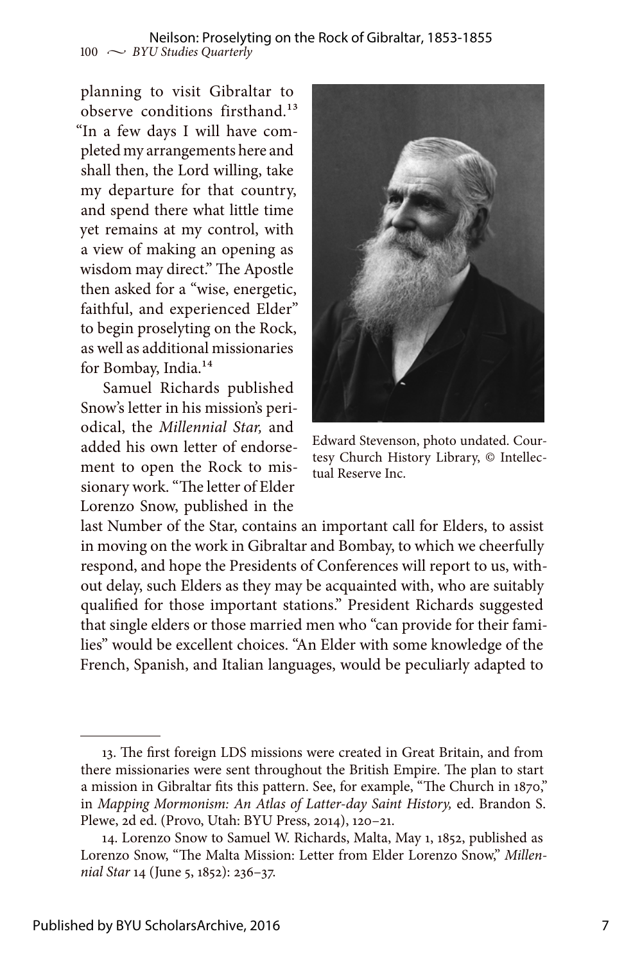#### 100  $\sim$  *BYU Studies Quarterly* Neilson: Proselyting on the Rock of Gibraltar, 1853-1855

planning to visit Gibraltar to observe conditions firsthand.<sup>13</sup> "In a few days I will have completed my arrangements here and shall then, the Lord willing, take my departure for that country, and spend there what little time yet remains at my control, with a view of making an opening as wisdom may direct." The Apostle then asked for a "wise, energetic, faithful, and experienced Elder" to begin proselyting on the Rock, as well as additional missionaries for Bombay, India.14

Samuel Richards published Snow's letter in his mission's periodical, the *Millennial Star,* and added his own letter of endorsement to open the Rock to missionary work. "The letter of Elder Lorenzo Snow, published in the



Edward Stevenson, photo undated. Courtesy Church History Library, © Intellectual Reserve Inc.

last Number of the Star, contains an important call for Elders, to assist in moving on the work in Gibraltar and Bombay, to which we cheerfully respond, and hope the Presidents of Conferences will report to us, without delay, such Elders as they may be acquainted with, who are suitably qualified for those important stations." President Richards suggested that single elders or those married men who "can provide for their families" would be excellent choices. "An Elder with some knowledge of the French, Spanish, and Italian languages, would be peculiarly adapted to

<sup>13.</sup> The first foreign LDS missions were created in Great Britain, and from there missionaries were sent throughout the British Empire. The plan to start a mission in Gibraltar fits this pattern. See, for example, "The Church in 1870," in *Mapping Mormonism: An Atlas of Latter-day Saint History,* ed. Brandon S. Plewe, 2d ed. (Provo, Utah: BYU Press, 2014), 120–21.

<sup>14.</sup> Lorenzo Snow to Samuel W. Richards, Malta, May 1, 1852, published as Lorenzo Snow, "The Malta Mission: Letter from Elder Lorenzo Snow," *Millennial Star* 14 (June 5, 1852): 236–37.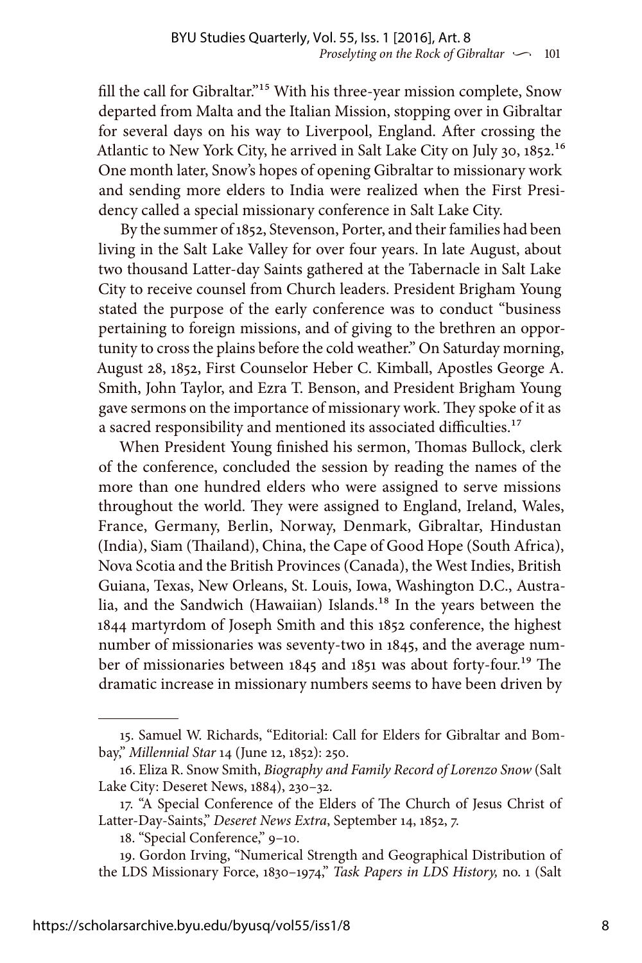fill the call for Gibraltar."<sup>15</sup> With his three-year mission complete, Snow departed from Malta and the Italian Mission, stopping over in Gibraltar for several days on his way to Liverpool, England. After crossing the Atlantic to New York City, he arrived in Salt Lake City on July 30, 1852.<sup>16</sup> One month later, Snow's hopes of opening Gibraltar to missionary work and sending more elders to India were realized when the First Presidency called a special missionary conference in Salt Lake City.

By the summer of 1852, Stevenson, Porter, and their families had been living in the Salt Lake Valley for over four years. In late August, about two thousand Latter-day Saints gathered at the Tabernacle in Salt Lake City to receive counsel from Church leaders. President Brigham Young stated the purpose of the early conference was to conduct "business pertaining to foreign missions, and of giving to the brethren an opportunity to cross the plains before the cold weather." On Saturday morning, August 28, 1852, First Counselor Heber C. Kimball, Apostles George A. Smith, John Taylor, and Ezra T. Benson, and President Brigham Young gave sermons on the importance of missionary work. They spoke of it as a sacred responsibility and mentioned its associated difficulties.<sup>17</sup>

When President Young finished his sermon, Thomas Bullock, clerk of the conference, concluded the session by reading the names of the more than one hundred elders who were assigned to serve missions throughout the world. They were assigned to England, Ireland, Wales, France, Germany, Berlin, Norway, Denmark, Gibraltar, Hindustan (India), Siam (Thailand), China, the Cape of Good Hope (South Africa), Nova Scotia and the British Provinces (Canada), the West Indies, British Guiana, Texas, New Orleans, St. Louis, Iowa, Washington D.C., Australia, and the Sandwich (Hawaiian) Islands.<sup>18</sup> In the years between the 1844 martyrdom of Joseph Smith and this 1852 conference, the highest number of missionaries was seventy-two in 1845, and the average number of missionaries between 1845 and 1851 was about forty-four.<sup>19</sup> The dramatic increase in missionary numbers seems to have been driven by

<sup>15.</sup> Samuel W. Richards, "Editorial: Call for Elders for Gibraltar and Bombay," *Millennial Star* 14 (June 12, 1852): 250.

<sup>16.</sup> Eliza R. Snow Smith, *Biography and Family Record of Lorenzo Snow* (Salt Lake City: Deseret News, 1884), 230–32.

<sup>17. &</sup>quot;A Special Conference of the Elders of The Church of Jesus Christ of Latter-Day-Saints," *Deseret News Extra*, September 14, 1852, 7.

<sup>18. &</sup>quot;Special Conference," 9–10.

<sup>19.</sup> Gordon Irving, "Numerical Strength and Geographical Distribution of the LDS Missionary Force, 1830–1974," *Task Papers in LDS History,* no. 1 (Salt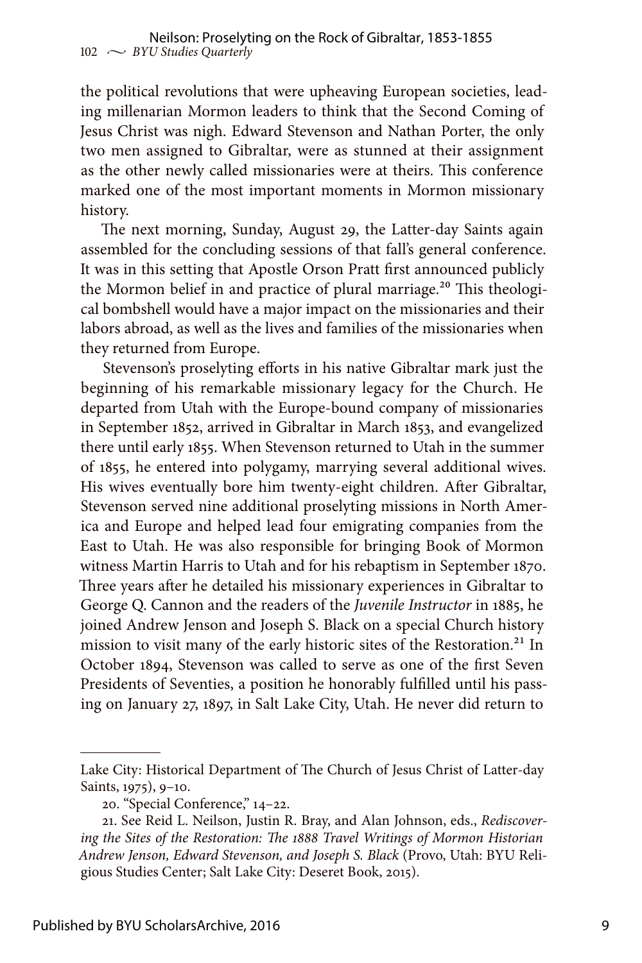the political revolutions that were upheaving European societies, leading millenarian Mormon leaders to think that the Second Coming of Jesus Christ was nigh. Edward Stevenson and Nathan Porter, the only two men assigned to Gibraltar, were as stunned at their assignment as the other newly called missionaries were at theirs. This conference marked one of the most important moments in Mormon missionary history.

The next morning, Sunday, August 29, the Latter-day Saints again assembled for the concluding sessions of that fall's general conference. It was in this setting that Apostle Orson Pratt first announced publicly the Mormon belief in and practice of plural marriage.<sup>20</sup> This theological bombshell would have a major impact on the missionaries and their labors abroad, as well as the lives and families of the missionaries when they returned from Europe.

Stevenson's proselyting efforts in his native Gibraltar mark just the beginning of his remarkable missionary legacy for the Church. He departed from Utah with the Europe-bound company of missionaries in September 1852, arrived in Gibraltar in March 1853, and evangelized there until early 1855. When Stevenson returned to Utah in the summer of 1855, he entered into polygamy, marrying several additional wives. His wives eventually bore him twenty-eight children. After Gibraltar, Stevenson served nine additional proselyting missions in North America and Europe and helped lead four emigrating companies from the East to Utah. He was also responsible for bringing Book of Mormon witness Martin Harris to Utah and for his rebaptism in September 1870. Three years after he detailed his missionary experiences in Gibraltar to George Q. Cannon and the readers of the *Juvenile Instructor* in 1885, he joined Andrew Jenson and Joseph S. Black on a special Church history mission to visit many of the early historic sites of the Restoration.<sup>21</sup> In October 1894, Stevenson was called to serve as one of the first Seven Presidents of Seventies, a position he honorably fulfilled until his passing on January 27, 1897, in Salt Lake City, Utah. He never did return to

Lake City: Historical Department of The Church of Jesus Christ of Latter-day Saints, 1975), 9–10.

<sup>20. &</sup>quot;Special Conference," 14–22.

<sup>21.</sup> See Reid L. Neilson, Justin R. Bray, and Alan Johnson, eds., *Rediscovering the Sites of the Restoration: The 1888 Travel Writings of Mormon Historian Andrew Jenson, Edward Stevenson, and Joseph S. Black* (Provo, Utah: BYU Religious Studies Center; Salt Lake City: Deseret Book, 2015).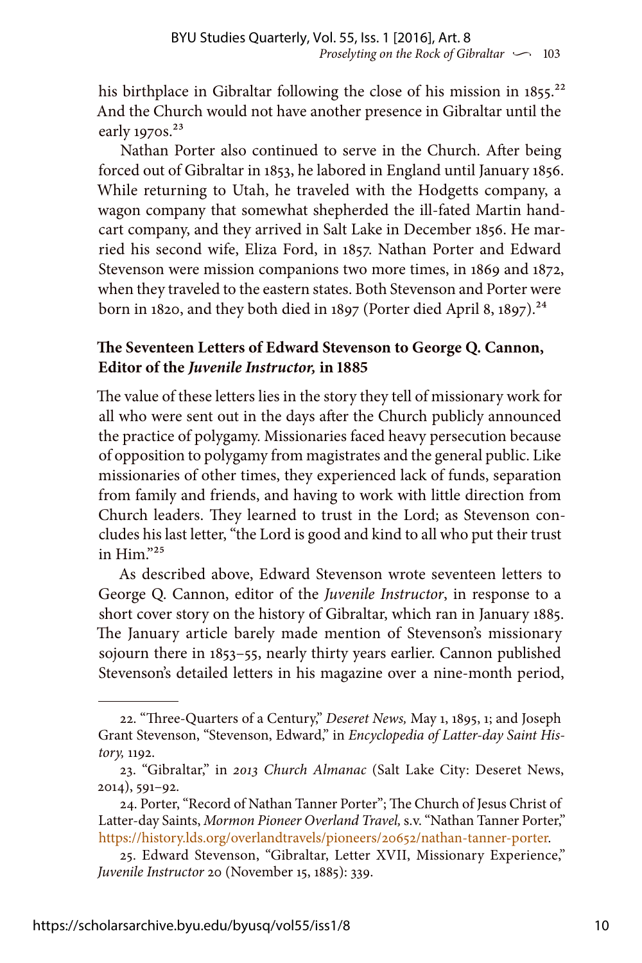his birthplace in Gibraltar following the close of his mission in 1855.<sup>22</sup> And the Church would not have another presence in Gibraltar until the early 1970s.<sup>23</sup>

Nathan Porter also continued to serve in the Church. After being forced out of Gibraltar in 1853, he labored in England until January 1856. While returning to Utah, he traveled with the Hodgetts company, a wagon company that somewhat shepherded the ill-fated Martin handcart company, and they arrived in Salt Lake in December 1856. He married his second wife, Eliza Ford, in 1857. Nathan Porter and Edward Stevenson were mission companions two more times, in 1869 and 1872, when they traveled to the eastern states. Both Stevenson and Porter were born in 1820, and they both died in 1897 (Porter died April 8, 1897).<sup>24</sup>

### **The Seventeen Letters of Edward Stevenson to George Q. Cannon, Editor of the** *Juvenile Instructor,* **in 1885**

The value of these letters lies in the story they tell of missionary work for all who were sent out in the days after the Church publicly announced the practice of polygamy. Missionaries faced heavy persecution because of opposition to polygamy from magistrates and the general public. Like missionaries of other times, they experienced lack of funds, separation from family and friends, and having to work with little direction from Church leaders. They learned to trust in the Lord; as Stevenson concludes his last letter, "the Lord is good and kind to all who put their trust in Him."25

As described above, Edward Stevenson wrote seventeen letters to George Q. Cannon, editor of the *Juvenile Instructor*, in response to a short cover story on the history of Gibraltar, which ran in January 1885. The January article barely made mention of Stevenson's missionary sojourn there in 1853–55, nearly thirty years earlier. Cannon published Stevenson's detailed letters in his magazine over a nine-month period,

<sup>22. &</sup>quot;Three-Quarters of a Century," *Deseret News,* May 1, 1895, 1; and Joseph Grant Stevenson, "Stevenson, Edward," in *Encyclopedia of Latter-day Saint History,* 1192.

<sup>23. &</sup>quot;Gibraltar," in *2013 Church Almanac* (Salt Lake City: Deseret News, 2014), 591–92.

<sup>24.</sup> Porter, "Record of Nathan Tanner Porter"; The Church of Jesus Christ of Latter-day Saints, *Mormon Pioneer Overland Travel,* s.v. "Nathan Tanner Porter," [https://history.lds.org/overlandtravels/pioneers/20652/nathan-tanner-porter.](https://history.lds.org/overlandtravels/pioneers/20652/nathan-tanner-porter)

<sup>25.</sup> Edward Stevenson, "Gibraltar, Letter XVII, Missionary Experience," *Juvenile Instructor* 20 (November 15, 1885): 339.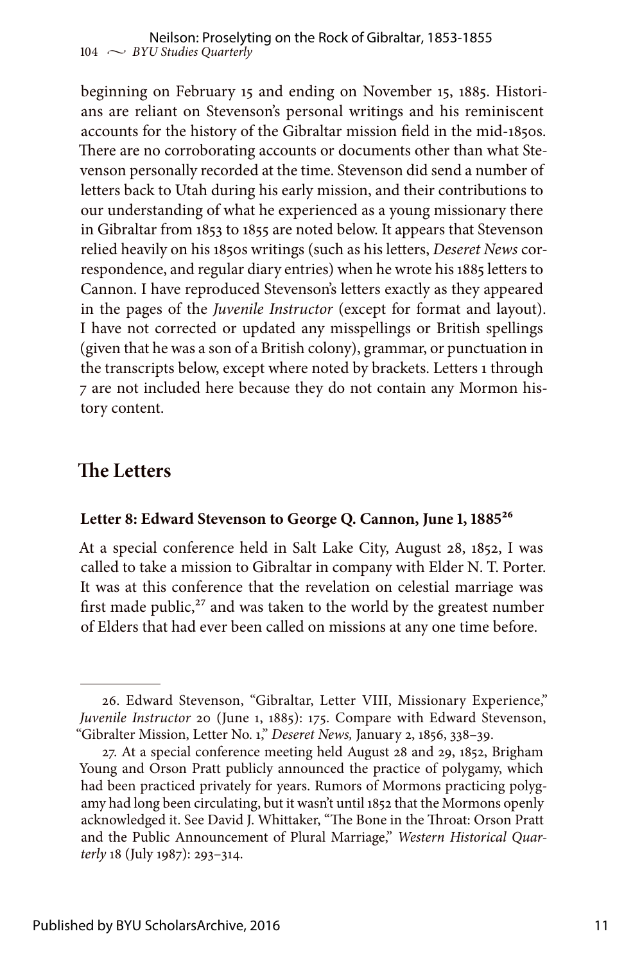beginning on February 15 and ending on November 15, 1885. Historians are reliant on Stevenson's personal writings and his reminiscent accounts for the history of the Gibraltar mission field in the mid-1850s. There are no corroborating accounts or documents other than what Stevenson personally recorded at the time. Stevenson did send a number of letters back to Utah during his early mission, and their contributions to our understanding of what he experienced as a young missionary there in Gibraltar from 1853 to 1855 are noted below. It appears that Stevenson relied heavily on his 1850s writings (such as his letters, *Deseret News* correspondence, and regular diary entries) when he wrote his 1885 letters to Cannon. I have reproduced Stevenson's letters exactly as they appeared in the pages of the *Juvenile Instructor* (except for format and layout). I have not corrected or updated any misspellings or British spellings (given that he was a son of a British colony), grammar, or punctuation in the transcripts below, except where noted by brackets. Letters 1 through 7 are not included here because they do not contain any Mormon history content.

### **The Letters**

#### Letter 8: Edward Stevenson to George Q. Cannon, June 1, 1885<sup>26</sup>

At a special conference held in Salt Lake City, August 28, 1852, I was called to take a mission to Gibraltar in company with Elder N. T. Porter. It was at this conference that the revelation on celestial marriage was first made public, $27$  and was taken to the world by the greatest number of Elders that had ever been called on missions at any one time before.

<sup>26.</sup> Edward Stevenson, "Gibraltar, Letter VIII, Missionary Experience," *Juvenile Instructor* 20 (June 1, 1885): 175. Compare with Edward Stevenson, "Gibralter Mission, Letter No. 1," *Deseret News,* January 2, 1856, 338–39.

<sup>27.</sup> At a special conference meeting held August 28 and 29, 1852, Brigham Young and Orson Pratt publicly announced the practice of polygamy, which had been practiced privately for years. Rumors of Mormons practicing polygamy had long been circulating, but it wasn't until 1852 that the Mormons openly acknowledged it. See David J. Whittaker, "The Bone in the Throat: Orson Pratt and the Public Announcement of Plural Marriage," *Western Historical Quarterly* 18 (July 1987): 293–314.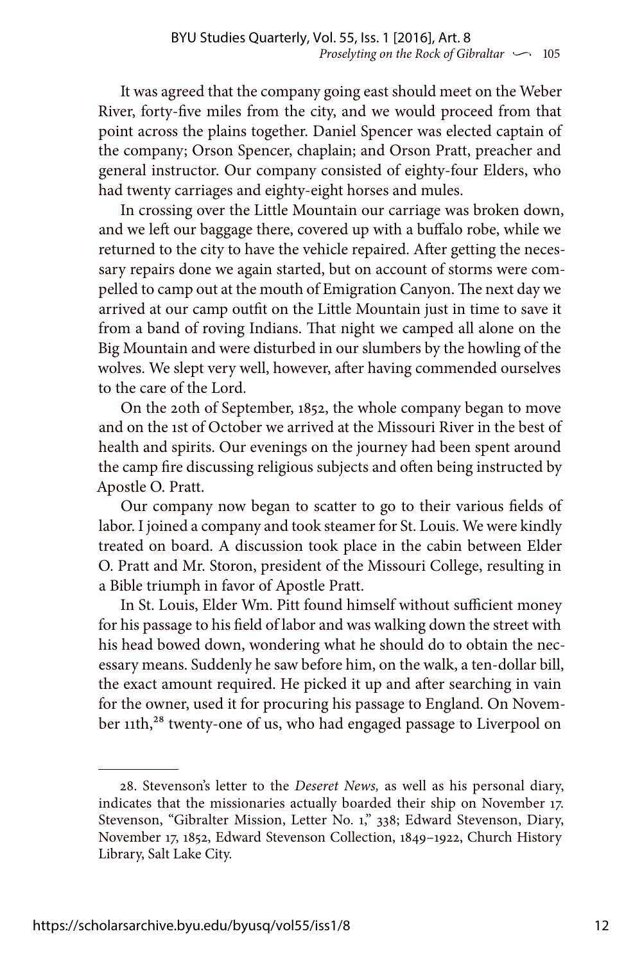It was agreed that the company going east should meet on the Weber River, forty-five miles from the city, and we would proceed from that point across the plains together. Daniel Spencer was elected captain of the company; Orson Spencer, chaplain; and Orson Pratt, preacher and general instructor. Our company consisted of eighty-four Elders, who had twenty carriages and eighty-eight horses and mules.

In crossing over the Little Mountain our carriage was broken down, and we left our baggage there, covered up with a buffalo robe, while we returned to the city to have the vehicle repaired. After getting the necessary repairs done we again started, but on account of storms were compelled to camp out at the mouth of Emigration Canyon. The next day we arrived at our camp outfit on the Little Mountain just in time to save it from a band of roving Indians. That night we camped all alone on the Big Mountain and were disturbed in our slumbers by the howling of the wolves. We slept very well, however, after having commended ourselves to the care of the Lord.

On the 20th of September, 1852, the whole company began to move and on the 1st of October we arrived at the Missouri River in the best of health and spirits. Our evenings on the journey had been spent around the camp fire discussing religious subjects and often being instructed by Apostle O. Pratt.

Our company now began to scatter to go to their various fields of labor. I joined a company and took steamer for St. Louis. We were kindly treated on board. A discussion took place in the cabin between Elder O. Pratt and Mr. Storon, president of the Missouri College, resulting in a Bible triumph in favor of Apostle Pratt.

In St. Louis, Elder Wm. Pitt found himself without sufficient money for his passage to his field of labor and was walking down the street with his head bowed down, wondering what he should do to obtain the necessary means. Suddenly he saw before him, on the walk, a ten-dollar bill, the exact amount required. He picked it up and after searching in vain for the owner, used it for procuring his passage to England. On November 11th,<sup>28</sup> twenty-one of us, who had engaged passage to Liverpool on

<sup>28.</sup> Stevenson's letter to the *Deseret News,* as well as his personal diary, indicates that the missionaries actually boarded their ship on November 17. Stevenson, "Gibralter Mission, Letter No. 1," 338; Edward Stevenson, Diary, November 17, 1852, Edward Stevenson Collection, 1849–1922, Church History Library, Salt Lake City.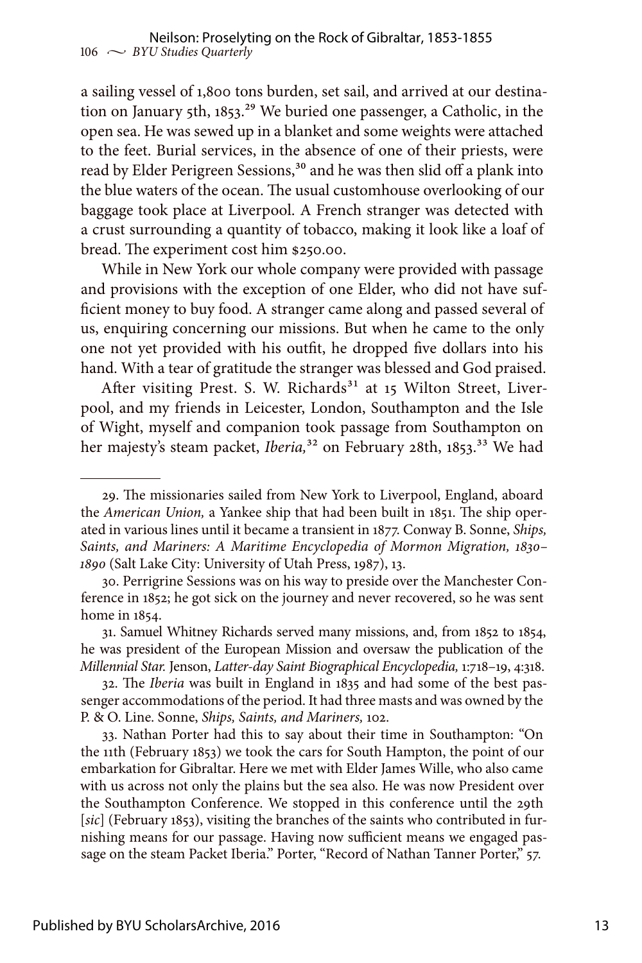a sailing vessel of 1,800 tons burden, set sail, and arrived at our destination on January 5th,  $1853$ <sup>29</sup> We buried one passenger, a Catholic, in the open sea. He was sewed up in a blanket and some weights were attached to the feet. Burial services, in the absence of one of their priests, were read by Elder Perigreen Sessions,<sup>30</sup> and he was then slid off a plank into the blue waters of the ocean. The usual customhouse overlooking of our baggage took place at Liverpool. A French stranger was detected with a crust surrounding a quantity of tobacco, making it look like a loaf of bread. The experiment cost him \$250.00.

While in New York our whole company were provided with passage and provisions with the exception of one Elder, who did not have sufficient money to buy food. A stranger came along and passed several of us, enquiring concerning our missions. But when he came to the only one not yet provided with his outfit, he dropped five dollars into his hand. With a tear of gratitude the stranger was blessed and God praised.

After visiting Prest. S. W. Richards<sup>31</sup> at 15 Wilton Street, Liverpool, and my friends in Leicester, London, Southampton and the Isle of Wight, myself and companion took passage from Southampton on her majesty's steam packet, *Iberia*,<sup>32</sup> on February 28th, 1853.<sup>33</sup> We had

33. Nathan Porter had this to say about their time in Southampton: "On the 11th (February 1853) we took the cars for South Hampton, the point of our embarkation for Gibraltar. Here we met with Elder James Wille, who also came with us across not only the plains but the sea also. He was now President over the Southampton Conference. We stopped in this conference until the 29th [sic] (February 1853), visiting the branches of the saints who contributed in furnishing means for our passage. Having now sufficient means we engaged passage on the steam Packet Iberia." Porter, "Record of Nathan Tanner Porter," 57.

<sup>29.</sup> The missionaries sailed from New York to Liverpool, England, aboard the *American Union,* a Yankee ship that had been built in 1851. The ship operated in various lines until it became a transient in 1877. Conway B. Sonne, *Ships, Saints, and Mariners: A Maritime Encyclopedia of Mormon Migration, 1830– 1890* (Salt Lake City: University of Utah Press, 1987), 13.

<sup>30.</sup> Perrigrine Sessions was on his way to preside over the Manchester Conference in 1852; he got sick on the journey and never recovered, so he was sent home in 1854.

<sup>31.</sup> Samuel Whitney Richards served many missions, and, from 1852 to 1854, he was president of the European Mission and oversaw the publication of the *Millennial Star.* Jenson, *Latter-day Saint Biographical Encyclopedia,* 1:718–19, 4:318.

<sup>32.</sup> The *Iberia* was built in England in 1835 and had some of the best passenger accommodations of the period. It had three masts and was owned by the P. & O. Line. Sonne, *Ships, Saints, and Mariners,* 102.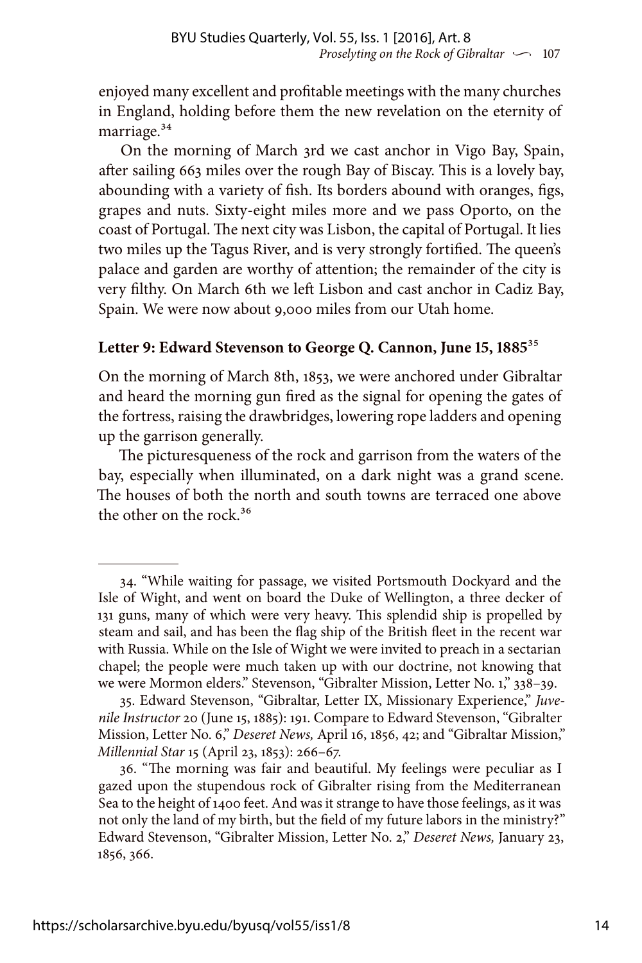enjoyed many excellent and profitable meetings with the many churches in England, holding before them the new revelation on the eternity of marriage.<sup>34</sup>

On the morning of March 3rd we cast anchor in Vigo Bay, Spain, after sailing 663 miles over the rough Bay of Biscay. This is a lovely bay, abounding with a variety of fish. Its borders abound with oranges, figs, grapes and nuts. Sixty-eight miles more and we pass Oporto, on the coast of Portugal. The next city was Lisbon, the capital of Portugal. It lies two miles up the Tagus River, and is very strongly fortified. The queen's palace and garden are worthy of attention; the remainder of the city is very filthy. On March 6th we left Lisbon and cast anchor in Cadiz Bay, Spain. We were now about 9,000 miles from our Utah home.

#### **Letter 9: Edward Stevenson to George Q. Cannon, June 15, 1885**35

On the morning of March 8th, 1853, we were anchored under Gibraltar and heard the morning gun fired as the signal for opening the gates of the fortress, raising the drawbridges, lowering rope ladders and opening up the garrison generally.

The picturesqueness of the rock and garrison from the waters of the bay, especially when illuminated, on a dark night was a grand scene. The houses of both the north and south towns are terraced one above the other on the rock.<sup>36</sup>

<sup>34. &</sup>quot;While waiting for passage, we visited Portsmouth Dockyard and the Isle of Wight, and went on board the Duke of Wellington, a three decker of 131 guns, many of which were very heavy. This splendid ship is propelled by steam and sail, and has been the flag ship of the British fleet in the recent war with Russia. While on the Isle of Wight we were invited to preach in a sectarian chapel; the people were much taken up with our doctrine, not knowing that we were Mormon elders." Stevenson, "Gibralter Mission, Letter No. 1," 338–39.

<sup>35.</sup> Edward Stevenson, "Gibraltar, Letter IX, Missionary Experience," *Juvenile Instructor* 20 (June 15, 1885): 191. Compare to Edward Stevenson, "Gibralter Mission, Letter No. 6," *Deseret News,* April 16, 1856, 42; and "Gibraltar Mission," *Millennial Star* 15 (April 23, 1853): 266–67.

<sup>36. &</sup>quot;The morning was fair and beautiful. My feelings were peculiar as I gazed upon the stupendous rock of Gibralter rising from the Mediterranean Sea to the height of 1400 feet. And was it strange to have those feelings, as it was not only the land of my birth, but the field of my future labors in the ministry?" Edward Stevenson, "Gibralter Mission, Letter No. 2," *Deseret News,* January 23, 1856, 366.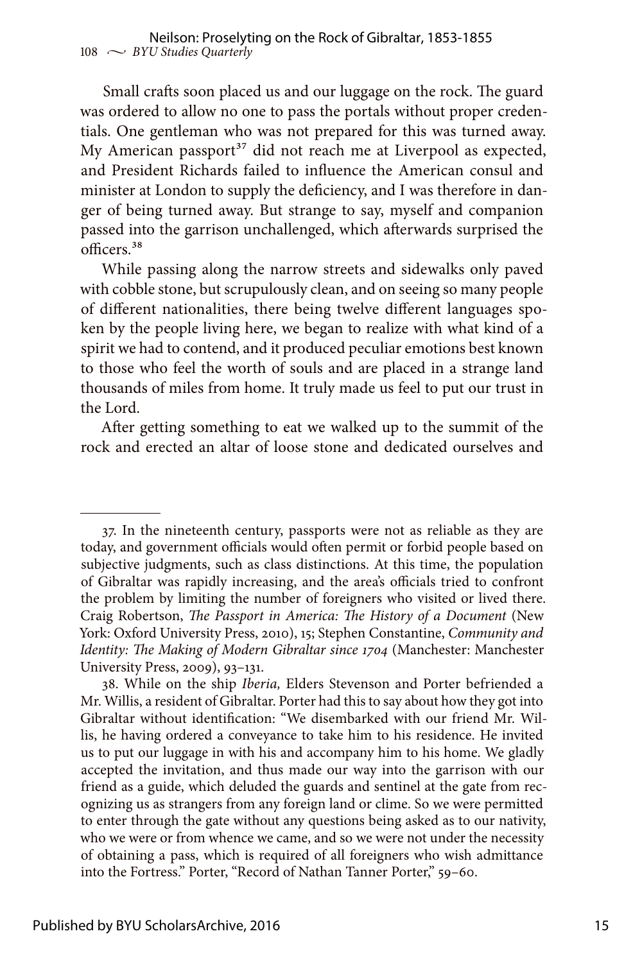Small crafts soon placed us and our luggage on the rock. The guard was ordered to allow no one to pass the portals without proper credentials. One gentleman who was not prepared for this was turned away. My American passport<sup>37</sup> did not reach me at Liverpool as expected, and President Richards failed to influence the American consul and minister at London to supply the deficiency, and I was therefore in danger of being turned away. But strange to say, myself and companion passed into the garrison unchallenged, which afterwards surprised the officers.38

While passing along the narrow streets and sidewalks only paved with cobble stone, but scrupulously clean, and on seeing so many people of different nationalities, there being twelve different languages spoken by the people living here, we began to realize with what kind of a spirit we had to contend, and it produced peculiar emotions best known to those who feel the worth of souls and are placed in a strange land thousands of miles from home. It truly made us feel to put our trust in the Lord.

After getting something to eat we walked up to the summit of the rock and erected an altar of loose stone and dedicated ourselves and

<sup>37.</sup> In the nineteenth century, passports were not as reliable as they are today, and government officials would often permit or forbid people based on subjective judgments, such as class distinctions. At this time, the population of Gibraltar was rapidly increasing, and the area's officials tried to confront the problem by limiting the number of foreigners who visited or lived there. Craig Robertson, *The Passport in America: The History of a Document* (New York: Oxford University Press, 2010), 15; Stephen Constantine, *Community and Identity: The Making of Modern Gibraltar since 1704* (Manchester: Manchester University Press, 2009), 93–131.

<sup>38.</sup> While on the ship *Iberia,* Elders Stevenson and Porter befriended a Mr. Willis, a resident of Gibraltar. Porter had this to say about how they got into Gibraltar without identification: "We disembarked with our friend Mr. Willis, he having ordered a conveyance to take him to his residence. He invited us to put our luggage in with his and accompany him to his home. We gladly accepted the invitation, and thus made our way into the garrison with our friend as a guide, which deluded the guards and sentinel at the gate from recognizing us as strangers from any foreign land or clime. So we were permitted to enter through the gate without any questions being asked as to our nativity, who we were or from whence we came, and so we were not under the necessity of obtaining a pass, which is required of all foreigners who wish admittance into the Fortress." Porter, "Record of Nathan Tanner Porter," 59–60.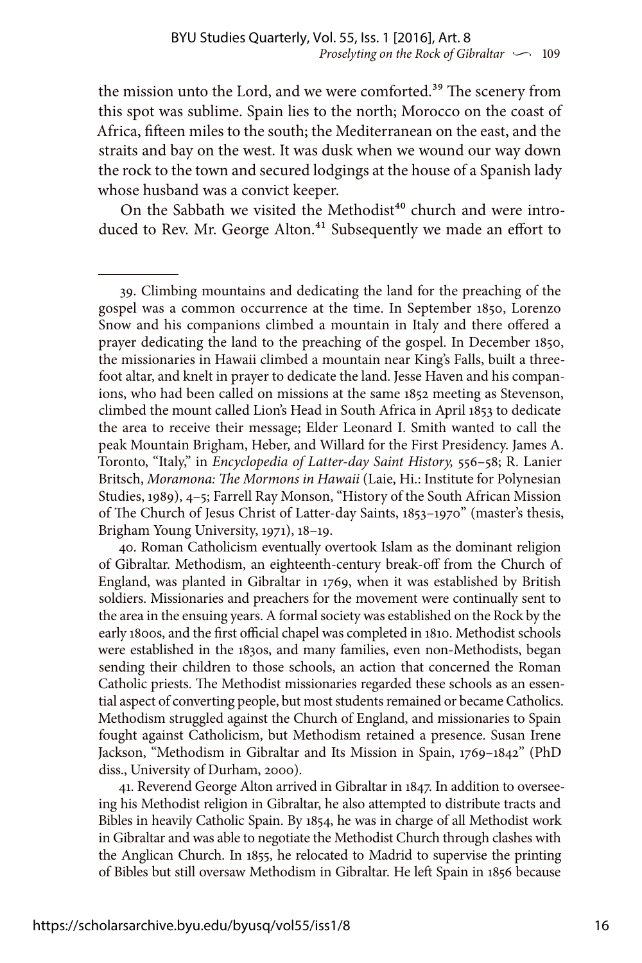the mission unto the Lord, and we were comforted.<sup>39</sup> The scenery from this spot was sublime. Spain lies to the north; Morocco on the coast of Africa, fifteen miles to the south; the Mediterranean on the east, and the straits and bay on the west. It was dusk when we wound our way down the rock to the town and secured lodgings at the house of a Spanish lady whose husband was a convict keeper.

On the Sabbath we visited the Methodist<sup>40</sup> church and were introduced to Rev. Mr. George Alton.<sup>41</sup> Subsequently we made an effort to

39. Climbing mountains and dedicating the land for the preaching of the gospel was a common occurrence at the time. In September 1850, Lorenzo Snow and his companions climbed a mountain in Italy and there offered a prayer dedicating the land to the preaching of the gospel. In December 1850, the missionaries in Hawaii climbed a mountain near King's Falls, built a threefoot altar, and knelt in prayer to dedicate the land. Jesse Haven and his companions, who had been called on missions at the same 1852 meeting as Stevenson, climbed the mount called Lion's Head in South Africa in April 1853 to dedicate the area to receive their message; Elder Leonard I. Smith wanted to call the peak Mountain Brigham, Heber, and Willard for the First Presidency. James A. Toronto, "Italy," in *Encyclopedia of Latter-day Saint History,* 556–58; R. Lanier Britsch, *Moramona: The Mormons in Hawaii* (Laie, Hi.: Institute for Polynesian Studies, 1989), 4–5; Farrell Ray Monson, "History of the South African Mission of The Church of Jesus Christ of Latter-day Saints, 1853–1970" (master's thesis, Brigham Young University, 1971), 18–19.

40. Roman Catholicism eventually overtook Islam as the dominant religion of Gibraltar. Methodism, an eighteenth-century break-off from the Church of England, was planted in Gibraltar in 1769, when it was established by British soldiers. Missionaries and preachers for the movement were continually sent to the area in the ensuing years. A formal society was established on the Rock by the early 1800s, and the first official chapel was completed in 1810. Methodist schools were established in the 1830s, and many families, even non-Methodists, began sending their children to those schools, an action that concerned the Roman Catholic priests. The Methodist missionaries regarded these schools as an essential aspect of converting people, but most students remained or became Catholics. Methodism struggled against the Church of England, and missionaries to Spain fought against Catholicism, but Methodism retained a presence. Susan Irene Jackson, "Methodism in Gibraltar and Its Mission in Spain, 1769–1842" (PhD diss., University of Durham, 2000).

41. Reverend George Alton arrived in Gibraltar in 1847. In addition to overseeing his Methodist religion in Gibraltar, he also attempted to distribute tracts and Bibles in heavily Catholic Spain. By 1854, he was in charge of all Methodist work in Gibraltar and was able to negotiate the Methodist Church through clashes with the Anglican Church. In 1855, he relocated to Madrid to supervise the printing of Bibles but still oversaw Methodism in Gibraltar. He left Spain in 1856 because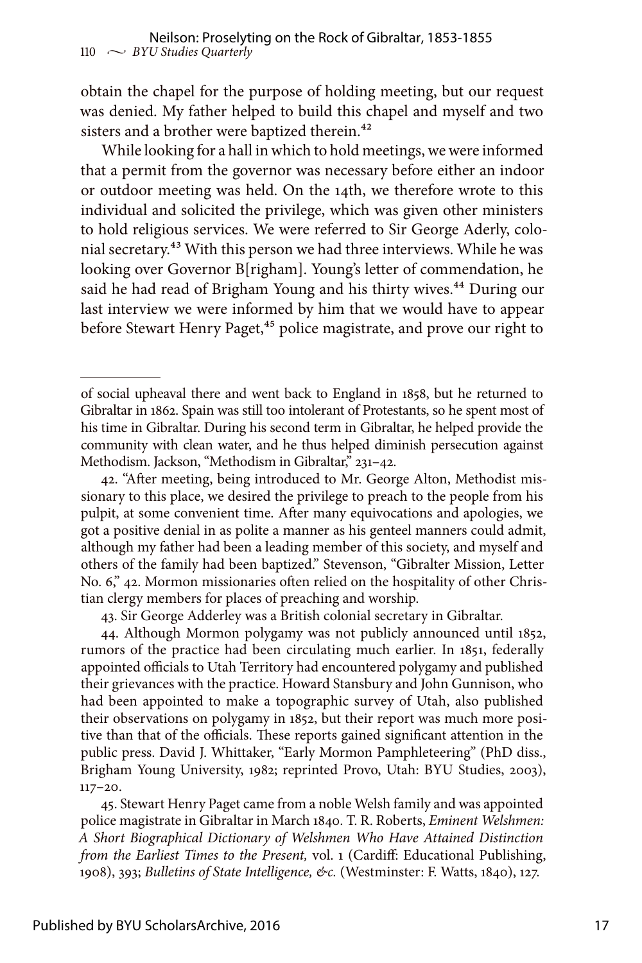obtain the chapel for the purpose of holding meeting, but our request was denied. My father helped to build this chapel and myself and two sisters and a brother were baptized therein.<sup>42</sup>

While looking for a hall in which to hold meetings, we were informed that a permit from the governor was necessary before either an indoor or outdoor meeting was held. On the 14th, we therefore wrote to this individual and solicited the privilege, which was given other ministers to hold religious services. We were referred to Sir George Aderly, colonial secretary.43 With this person we had three interviews. While he was looking over Governor B[righam]. Young's letter of commendation, he said he had read of Brigham Young and his thirty wives.<sup>44</sup> During our last interview we were informed by him that we would have to appear before Stewart Henry Paget,<sup>45</sup> police magistrate, and prove our right to

43. Sir George Adderley was a British colonial secretary in Gibraltar.

44. Although Mormon polygamy was not publicly announced until 1852, rumors of the practice had been circulating much earlier. In 1851, federally appointed officials to Utah Territory had encountered polygamy and published their grievances with the practice. Howard Stansbury and John Gunnison, who had been appointed to make a topographic survey of Utah, also published their observations on polygamy in 1852, but their report was much more positive than that of the officials. These reports gained significant attention in the public press. David J. Whittaker, "Early Mormon Pamphleteering" (PhD diss., Brigham Young University, 1982; reprinted Provo, Utah: BYU Studies, 2003), 117–20.

45. Stewart Henry Paget came from a noble Welsh family and was appointed police magistrate in Gibraltar in March 1840. T. R. Roberts, *Eminent Welshmen: A Short Biographical Dictionary of Welshmen Who Have Attained Distinction from the Earliest Times to the Present,* vol. 1 (Cardiff: Educational Publishing, 1908), 393; *Bulletins of State Intelligence, &c.* (Westminster: F. Watts, 1840), 127.

of social upheaval there and went back to England in 1858, but he returned to Gibraltar in 1862. Spain was still too intolerant of Protestants, so he spent most of his time in Gibraltar. During his second term in Gibraltar, he helped provide the community with clean water, and he thus helped diminish persecution against Methodism. Jackson, "Methodism in Gibraltar," 231–42.

<sup>42. &</sup>quot;After meeting, being introduced to Mr. George Alton, Methodist missionary to this place, we desired the privilege to preach to the people from his pulpit, at some convenient time. After many equivocations and apologies, we got a positive denial in as polite a manner as his genteel manners could admit, although my father had been a leading member of this society, and myself and others of the family had been baptized." Stevenson, "Gibralter Mission, Letter No. 6," 42. Mormon missionaries often relied on the hospitality of other Christian clergy members for places of preaching and worship.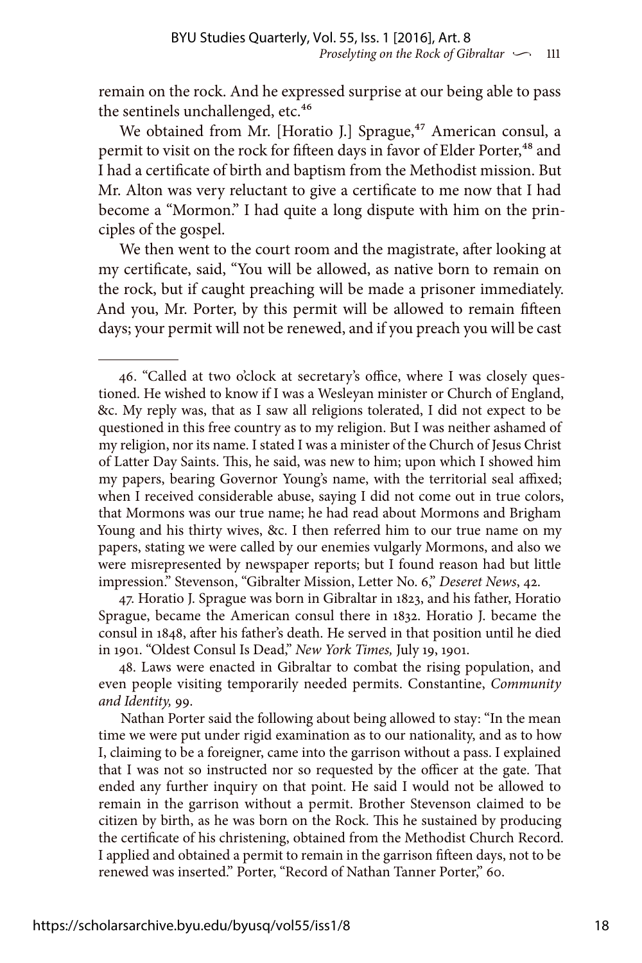remain on the rock. And he expressed surprise at our being able to pass the sentinels unchallenged, etc.<sup>46</sup>

We obtained from Mr. [Horatio J.] Sprague,<sup>47</sup> American consul, a permit to visit on the rock for fifteen days in favor of Elder Porter,<sup>48</sup> and I had a certificate of birth and baptism from the Methodist mission. But Mr. Alton was very reluctant to give a certificate to me now that I had become a "Mormon." I had quite a long dispute with him on the principles of the gospel.

We then went to the court room and the magistrate, after looking at my certificate, said, "You will be allowed, as native born to remain on the rock, but if caught preaching will be made a prisoner immediately. And you, Mr. Porter, by this permit will be allowed to remain fifteen days; your permit will not be renewed, and if you preach you will be cast

47. Horatio J. Sprague was born in Gibraltar in 1823, and his father, Horatio Sprague, became the American consul there in 1832. Horatio J. became the consul in 1848, after his father's death. He served in that position until he died in 1901. "Oldest Consul Is Dead," *New York Times,* July 19, 1901.

48. Laws were enacted in Gibraltar to combat the rising population, and even people visiting temporarily needed permits. Constantine, *Community and Identity,* 99.

Nathan Porter said the following about being allowed to stay: "In the mean time we were put under rigid examination as to our nationality, and as to how I, claiming to be a foreigner, came into the garrison without a pass. I explained that I was not so instructed nor so requested by the officer at the gate. That ended any further inquiry on that point. He said I would not be allowed to remain in the garrison without a permit. Brother Stevenson claimed to be citizen by birth, as he was born on the Rock. This he sustained by producing the certificate of his christening, obtained from the Methodist Church Record. I applied and obtained a permit to remain in the garrison fifteen days, not to be renewed was inserted." Porter, "Record of Nathan Tanner Porter," 60.

<sup>46. &</sup>quot;Called at two o'clock at secretary's office, where I was closely questioned. He wished to know if I was a Wesleyan minister or Church of England, &c. My reply was, that as I saw all religions tolerated, I did not expect to be questioned in this free country as to my religion. But I was neither ashamed of my religion, nor its name. I stated I was a minister of the Church of Jesus Christ of Latter Day Saints. This, he said, was new to him; upon which I showed him my papers, bearing Governor Young's name, with the territorial seal affixed; when I received considerable abuse, saying I did not come out in true colors, that Mormons was our true name; he had read about Mormons and Brigham Young and his thirty wives, &c. I then referred him to our true name on my papers, stating we were called by our enemies vulgarly Mormons, and also we were misrepresented by newspaper reports; but I found reason had but little impression." Stevenson, "Gibralter Mission, Letter No. 6," *Deseret News*, 42.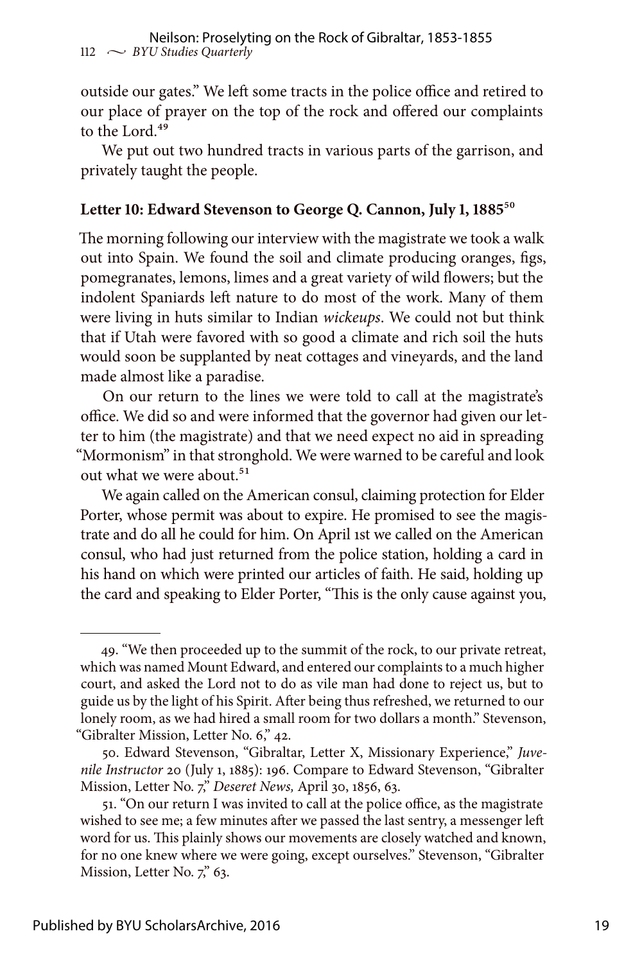outside our gates." We left some tracts in the police office and retired to our place of prayer on the top of the rock and offered our complaints to the Lord.<sup>49</sup>

We put out two hundred tracts in various parts of the garrison, and privately taught the people.

#### **Letter 10: Edward Stevenson to George Q. Cannon, July 1, 1885**50

The morning following our interview with the magistrate we took a walk out into Spain. We found the soil and climate producing oranges, figs, pomegranates, lemons, limes and a great variety of wild flowers; but the indolent Spaniards left nature to do most of the work. Many of them were living in huts similar to Indian *wickeups*. We could not but think that if Utah were favored with so good a climate and rich soil the huts would soon be supplanted by neat cottages and vineyards, and the land made almost like a paradise.

On our return to the lines we were told to call at the magistrate's office. We did so and were informed that the governor had given our letter to him (the magistrate) and that we need expect no aid in spreading "Mormonism" in that stronghold. We were warned to be careful and look out what we were about.<sup>51</sup>

We again called on the American consul, claiming protection for Elder Porter, whose permit was about to expire. He promised to see the magistrate and do all he could for him. On April 1st we called on the American consul, who had just returned from the police station, holding a card in his hand on which were printed our articles of faith. He said, holding up the card and speaking to Elder Porter, "This is the only cause against you,

<sup>49. &</sup>quot;We then proceeded up to the summit of the rock, to our private retreat, which was named Mount Edward, and entered our complaints to a much higher court, and asked the Lord not to do as vile man had done to reject us, but to guide us by the light of his Spirit. After being thus refreshed, we returned to our lonely room, as we had hired a small room for two dollars a month." Stevenson, "Gibralter Mission, Letter No. 6," 42.

<sup>50.</sup> Edward Stevenson, "Gibraltar, Letter X, Missionary Experience," *Juvenile Instructor* 20 (July 1, 1885): 196. Compare to Edward Stevenson, "Gibralter Mission, Letter No. 7," *Deseret News,* April 30, 1856, 63.

<sup>51. &</sup>quot;On our return I was invited to call at the police office, as the magistrate wished to see me; a few minutes after we passed the last sentry, a messenger left word for us. This plainly shows our movements are closely watched and known, for no one knew where we were going, except ourselves." Stevenson, "Gibralter Mission, Letter No. 7," 63.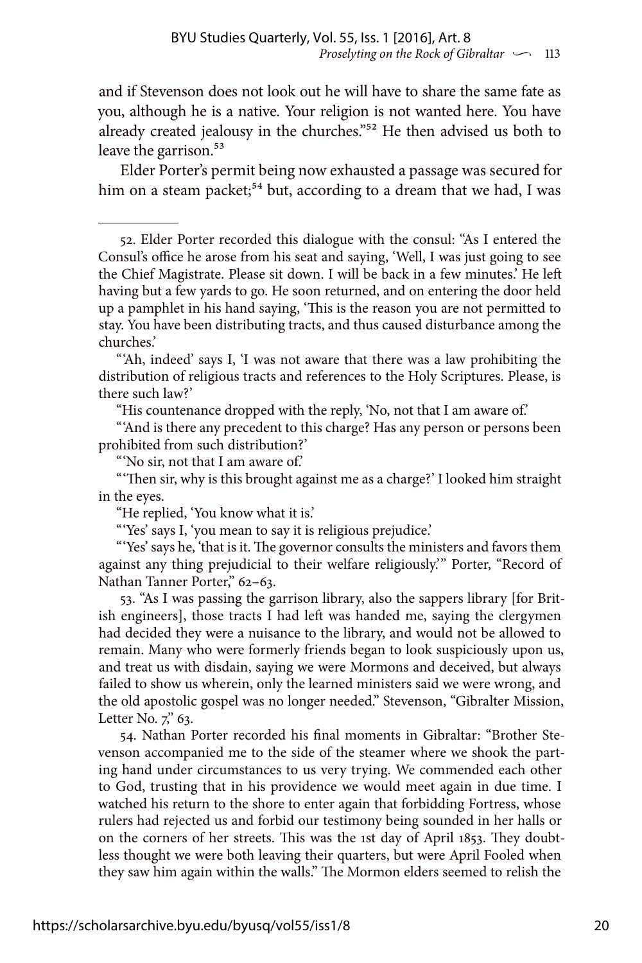and if Stevenson does not look out he will have to share the same fate as you, although he is a native. Your religion is not wanted here. You have already created jealousy in the churches."52 He then advised us both to leave the garrison.<sup>53</sup>

Elder Porter's permit being now exhausted a passage was secured for him on a steam packet;<sup>54</sup> but, according to a dream that we had, I was

"'Ah, indeed' says I, 'I was not aware that there was a law prohibiting the distribution of religious tracts and references to the Holy Scriptures. Please, is there such law?'

"His countenance dropped with the reply, 'No, not that I am aware of.'

"'And is there any precedent to this charge? Has any person or persons been prohibited from such distribution?'

"'No sir, not that I am aware of.'

"'Then sir, why is this brought against me as a charge?' I looked him straight in the eyes.

"He replied, 'You know what it is.'

"'Yes' says I, 'you mean to say it is religious prejudice.'

"'Yes' says he, 'that is it. The governor consults the ministers and favors them against any thing prejudicial to their welfare religiously.'" Porter, "Record of Nathan Tanner Porter," 62–63.

53. "As I was passing the garrison library, also the sappers library [for British engineers], those tracts I had left was handed me, saying the clergymen had decided they were a nuisance to the library, and would not be allowed to remain. Many who were formerly friends began to look suspiciously upon us, and treat us with disdain, saying we were Mormons and deceived, but always failed to show us wherein, only the learned ministers said we were wrong, and the old apostolic gospel was no longer needed." Stevenson, "Gibralter Mission, Letter No.  $7$ ," 63.

54. Nathan Porter recorded his final moments in Gibraltar: "Brother Stevenson accompanied me to the side of the steamer where we shook the parting hand under circumstances to us very trying. We commended each other to God, trusting that in his providence we would meet again in due time. I watched his return to the shore to enter again that forbidding Fortress, whose rulers had rejected us and forbid our testimony being sounded in her halls or on the corners of her streets. This was the 1st day of April 1853. They doubtless thought we were both leaving their quarters, but were April Fooled when they saw him again within the walls." The Mormon elders seemed to relish the

<sup>52.</sup> Elder Porter recorded this dialogue with the consul: "As I entered the Consul's office he arose from his seat and saying, 'Well, I was just going to see the Chief Magistrate. Please sit down. I will be back in a few minutes.' He left having but a few yards to go. He soon returned, and on entering the door held up a pamphlet in his hand saying, 'This is the reason you are not permitted to stay. You have been distributing tracts, and thus caused disturbance among the churches.'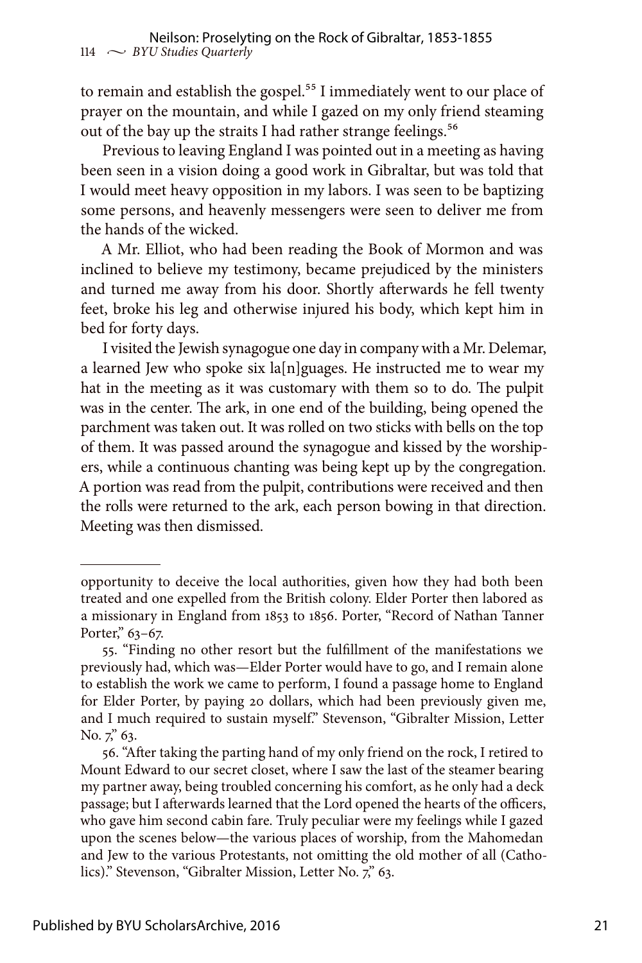to remain and establish the gospel.<sup>55</sup> I immediately went to our place of prayer on the mountain, and while I gazed on my only friend steaming out of the bay up the straits I had rather strange feelings.<sup>56</sup>

Previous to leaving England I was pointed out in a meeting as having been seen in a vision doing a good work in Gibraltar, but was told that I would meet heavy opposition in my labors. I was seen to be baptizing some persons, and heavenly messengers were seen to deliver me from the hands of the wicked.

A Mr. Elliot, who had been reading the Book of Mormon and was inclined to believe my testimony, became prejudiced by the ministers and turned me away from his door. Shortly afterwards he fell twenty feet, broke his leg and otherwise injured his body, which kept him in bed for forty days.

I visited the Jewish synagogue one day in company with a Mr. Delemar, a learned Jew who spoke six  $\lceil \frac{n}{\lg n} \rceil$  algoring He instructed me to wear my hat in the meeting as it was customary with them so to do. The pulpit was in the center. The ark, in one end of the building, being opened the parchment was taken out. It was rolled on two sticks with bells on the top of them. It was passed around the synagogue and kissed by the worshipers, while a continuous chanting was being kept up by the congregation. A portion was read from the pulpit, contributions were received and then the rolls were returned to the ark, each person bowing in that direction. Meeting was then dismissed.

opportunity to deceive the local authorities, given how they had both been treated and one expelled from the British colony. Elder Porter then labored as a missionary in England from 1853 to 1856. Porter, "Record of Nathan Tanner Porter," 63-67.

<sup>55. &</sup>quot;Finding no other resort but the fulfillment of the manifestations we previously had, which was—Elder Porter would have to go, and I remain alone to establish the work we came to perform, I found a passage home to England for Elder Porter, by paying 20 dollars, which had been previously given me, and I much required to sustain myself." Stevenson, "Gibralter Mission, Letter No. 7," 63.

<sup>56. &</sup>quot;After taking the parting hand of my only friend on the rock, I retired to Mount Edward to our secret closet, where I saw the last of the steamer bearing my partner away, being troubled concerning his comfort, as he only had a deck passage; but I afterwards learned that the Lord opened the hearts of the officers, who gave him second cabin fare. Truly peculiar were my feelings while I gazed upon the scenes below—the various places of worship, from the Mahomedan and Jew to the various Protestants, not omitting the old mother of all (Catholics)." Stevenson, "Gibralter Mission, Letter No. 7," 63.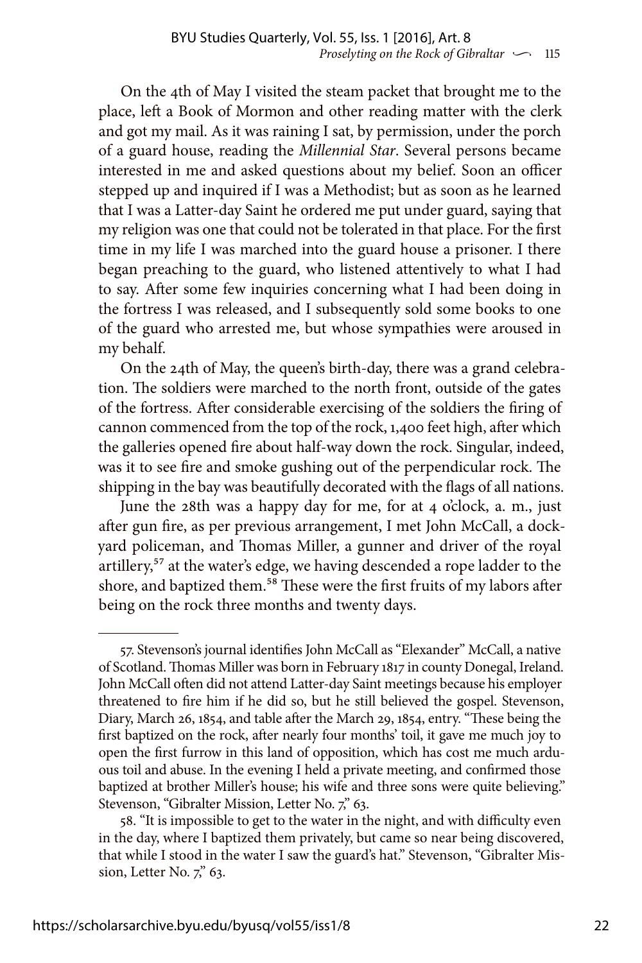On the 4th of May I visited the steam packet that brought me to the place, left a Book of Mormon and other reading matter with the clerk and got my mail. As it was raining I sat, by permission, under the porch of a guard house, reading the *Millennial Star*. Several persons became interested in me and asked questions about my belief. Soon an officer stepped up and inquired if I was a Methodist; but as soon as he learned that I was a Latter-day Saint he ordered me put under guard, saying that my religion was one that could not be tolerated in that place. For the first time in my life I was marched into the guard house a prisoner. I there began preaching to the guard, who listened attentively to what I had to say. After some few inquiries concerning what I had been doing in the fortress I was released, and I subsequently sold some books to one of the guard who arrested me, but whose sympathies were aroused in my behalf.

On the 24th of May, the queen's birth-day, there was a grand celebration. The soldiers were marched to the north front, outside of the gates of the fortress. After considerable exercising of the soldiers the firing of cannon commenced from the top of the rock, 1,400 feet high, after which the galleries opened fire about half-way down the rock. Singular, indeed, was it to see fire and smoke gushing out of the perpendicular rock. The shipping in the bay was beautifully decorated with the flags of all nations.

June the 28th was a happy day for me, for at 4 o'clock, a. m., just after gun fire, as per previous arrangement, I met John McCall, a dockyard policeman, and Thomas Miller, a gunner and driver of the royal artillery,<sup>57</sup> at the water's edge, we having descended a rope ladder to the shore, and baptized them.<sup>58</sup> These were the first fruits of my labors after being on the rock three months and twenty days.

<sup>57.</sup> Stevenson's journal identifies John McCall as "Elexander" McCall, a native of Scotland. Thomas Miller was born in February 1817 in county Donegal, Ireland. John McCall often did not attend Latter-day Saint meetings because his employer threatened to fire him if he did so, but he still believed the gospel. Stevenson, Diary, March 26, 1854, and table after the March 29, 1854, entry. "These being the first baptized on the rock, after nearly four months' toil, it gave me much joy to open the first furrow in this land of opposition, which has cost me much arduous toil and abuse. In the evening I held a private meeting, and confirmed those baptized at brother Miller's house; his wife and three sons were quite believing." Stevenson, "Gibralter Mission, Letter No. 7," 63.

<sup>58. &</sup>quot;It is impossible to get to the water in the night, and with difficulty even in the day, where I baptized them privately, but came so near being discovered, that while I stood in the water I saw the guard's hat." Stevenson, "Gibralter Mission, Letter No. 7," 63.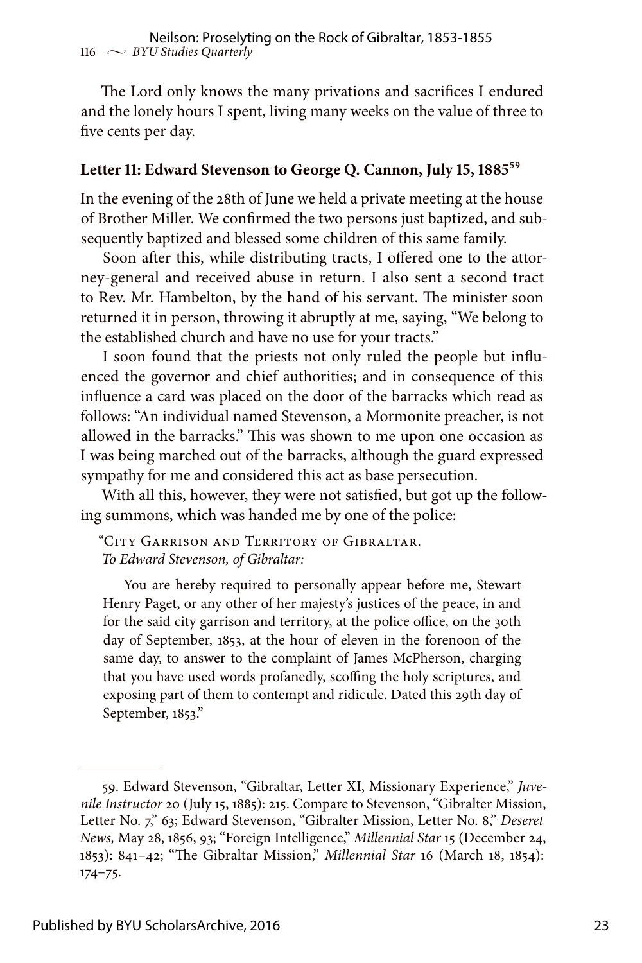The Lord only knows the many privations and sacrifices I endured and the lonely hours I spent, living many weeks on the value of three to five cents per day.

#### **Letter 11: Edward Stevenson to George Q. Cannon, July 15, 1885**59

In the evening of the 28th of June we held a private meeting at the house of Brother Miller. We confirmed the two persons just baptized, and subsequently baptized and blessed some children of this same family.

Soon after this, while distributing tracts, I offered one to the attorney-general and received abuse in return. I also sent a second tract to Rev. Mr. Hambelton, by the hand of his servant. The minister soon returned it in person, throwing it abruptly at me, saying, "We belong to the established church and have no use for your tracts."

I soon found that the priests not only ruled the people but influenced the governor and chief authorities; and in consequence of this influence a card was placed on the door of the barracks which read as follows: "An individual named Stevenson, a Mormonite preacher, is not allowed in the barracks." This was shown to me upon one occasion as I was being marched out of the barracks, although the guard expressed sympathy for me and considered this act as base persecution.

With all this, however, they were not satisfied, but got up the following summons, which was handed me by one of the police:

"City Garrison and Territory of Gibraltar. *To Edward Stevenson, of Gibraltar:*

You are hereby required to personally appear before me, Stewart Henry Paget, or any other of her majesty's justices of the peace, in and for the said city garrison and territory, at the police office, on the 30th day of September, 1853, at the hour of eleven in the forenoon of the same day, to answer to the complaint of James McPherson, charging that you have used words profanedly, scoffing the holy scriptures, and exposing part of them to contempt and ridicule. Dated this 29th day of September, 1853."

<sup>59.</sup> Edward Stevenson, "Gibraltar, Letter XI, Missionary Experience," *Juvenile Instructor* 20 (July 15, 1885): 215. Compare to Stevenson, "Gibralter Mission, Letter No. 7," 63; Edward Stevenson, "Gibralter Mission, Letter No. 8," *Deseret News,* May 28, 1856, 93; "Foreign Intelligence," *Millennial Star* 15 (December 24, 1853): 841–42; "The Gibraltar Mission," *Millennial Star* 16 (March 18, 1854): 174–75.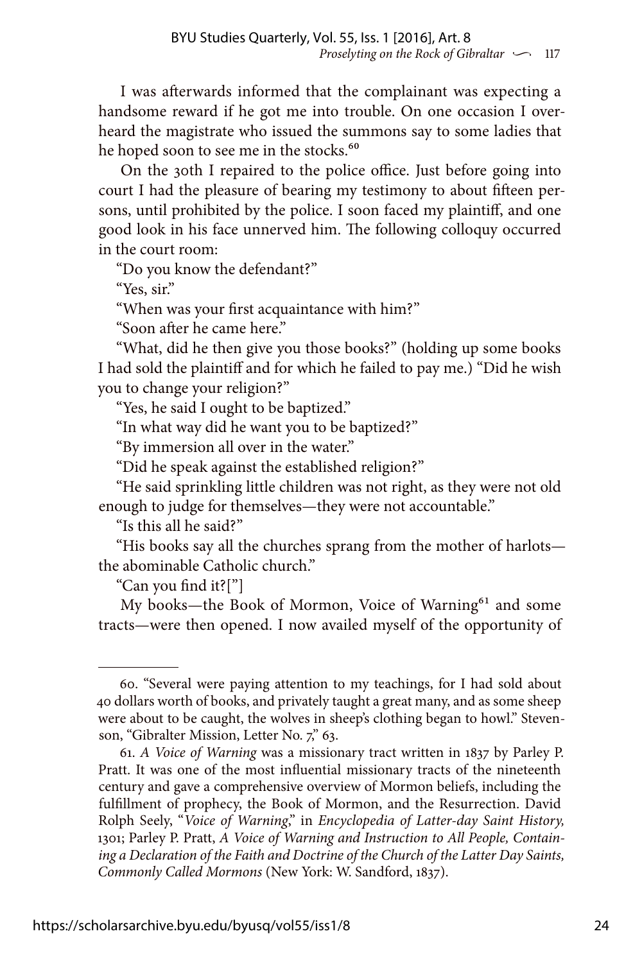I was afterwards informed that the complainant was expecting a handsome reward if he got me into trouble. On one occasion I overheard the magistrate who issued the summons say to some ladies that he hoped soon to see me in the stocks.<sup>60</sup>

On the 30th I repaired to the police office. Just before going into court I had the pleasure of bearing my testimony to about fifteen persons, until prohibited by the police. I soon faced my plaintiff, and one good look in his face unnerved him. The following colloquy occurred in the court room:

"Do you know the defendant?"

"Yes, sir."

"When was your first acquaintance with him?"

"Soon after he came here."

"What, did he then give you those books?" (holding up some books I had sold the plaintiff and for which he failed to pay me.) "Did he wish you to change your religion?"

"Yes, he said I ought to be baptized."

"In what way did he want you to be baptized?"

"By immersion all over in the water."

"Did he speak against the established religion?"

"He said sprinkling little children was not right, as they were not old enough to judge for themselves—they were not accountable."

"Is this all he said?"

"His books say all the churches sprang from the mother of harlots the abominable Catholic church."

"Can you find it?["]

My books—the Book of Mormon, Voice of Warning<sup>61</sup> and some tracts—were then opened. I now availed myself of the opportunity of

<sup>60. &</sup>quot;Several were paying attention to my teachings, for I had sold about 40 dollars worth of books, and privately taught a great many, and as some sheep were about to be caught, the wolves in sheep's clothing began to howl." Stevenson, "Gibralter Mission, Letter No. 7," 63.

<sup>61.</sup> *A Voice of Warning* was a missionary tract written in 1837 by Parley P. Pratt. It was one of the most influential missionary tracts of the nineteenth century and gave a comprehensive overview of Mormon beliefs, including the fulfillment of prophecy, the Book of Mormon, and the Resurrection. David Rolph Seely, "*Voice of Warning*," in *Encyclopedia of Latter-day Saint History,* 1301; Parley P. Pratt, *A Voice of Warning and Instruction to All People, Containing a Declaration of the Faith and Doctrine of the Church of the Latter Day Saints, Commonly Called Mormons* (New York: W. Sandford, 1837).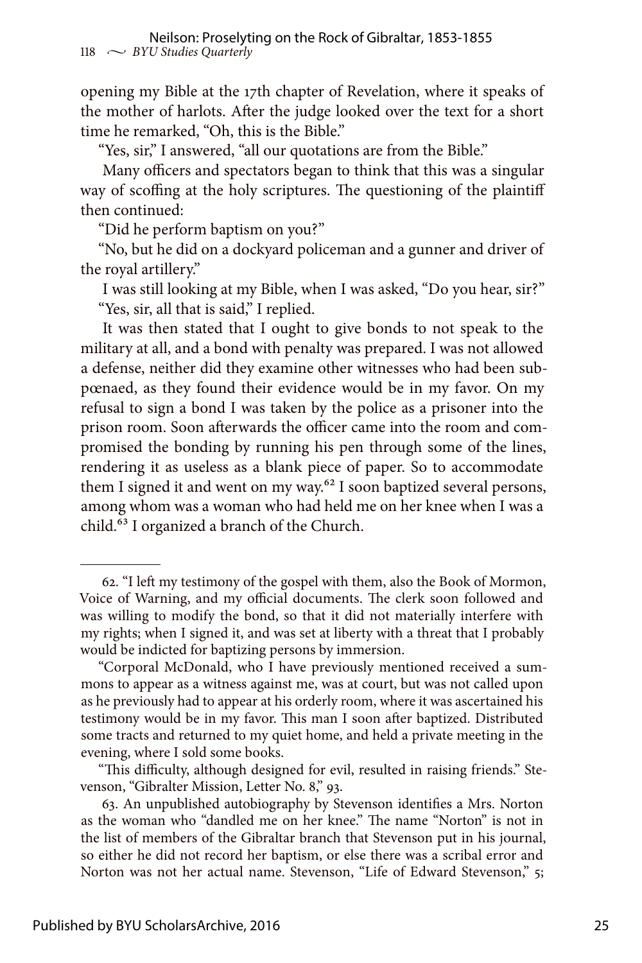opening my Bible at the 17th chapter of Revelation, where it speaks of the mother of harlots. After the judge looked over the text for a short time he remarked, "Oh, this is the Bible."

"Yes, sir," I answered, "all our quotations are from the Bible."

Many officers and spectators began to think that this was a singular way of scoffing at the holy scriptures. The questioning of the plaintiff then continued:

"Did he perform baptism on you?"

"No, but he did on a dockyard policeman and a gunner and driver of the royal artillery."

I was still looking at my Bible, when I was asked, "Do you hear, sir?" "Yes, sir, all that is said," I replied.

It was then stated that I ought to give bonds to not speak to the military at all, and a bond with penalty was prepared. I was not allowed a defense, neither did they examine other witnesses who had been subpœnaed, as they found their evidence would be in my favor. On my refusal to sign a bond I was taken by the police as a prisoner into the prison room. Soon afterwards the officer came into the room and compromised the bonding by running his pen through some of the lines, rendering it as useless as a blank piece of paper. So to accommodate them I signed it and went on my way.<sup>62</sup> I soon baptized several persons, among whom was a woman who had held me on her knee when I was a child.<sup>63</sup> I organized a branch of the Church.

<sup>62. &</sup>quot;I left my testimony of the gospel with them, also the Book of Mormon, Voice of Warning, and my official documents. The clerk soon followed and was willing to modify the bond, so that it did not materially interfere with my rights; when I signed it, and was set at liberty with a threat that I probably would be indicted for baptizing persons by immersion.

<sup>&</sup>quot;Corporal McDonald, who I have previously mentioned received a summons to appear as a witness against me, was at court, but was not called upon as he previously had to appear at his orderly room, where it was ascertained his testimony would be in my favor. This man I soon after baptized. Distributed some tracts and returned to my quiet home, and held a private meeting in the evening, where I sold some books.

<sup>&</sup>quot;This difficulty, although designed for evil, resulted in raising friends." Stevenson, "Gibralter Mission, Letter No. 8," 93.

<sup>63.</sup> An unpublished autobiography by Stevenson identifies a Mrs. Norton as the woman who "dandled me on her knee." The name "Norton" is not in the list of members of the Gibraltar branch that Stevenson put in his journal, so either he did not record her baptism, or else there was a scribal error and Norton was not her actual name. Stevenson, "Life of Edward Stevenson," 5;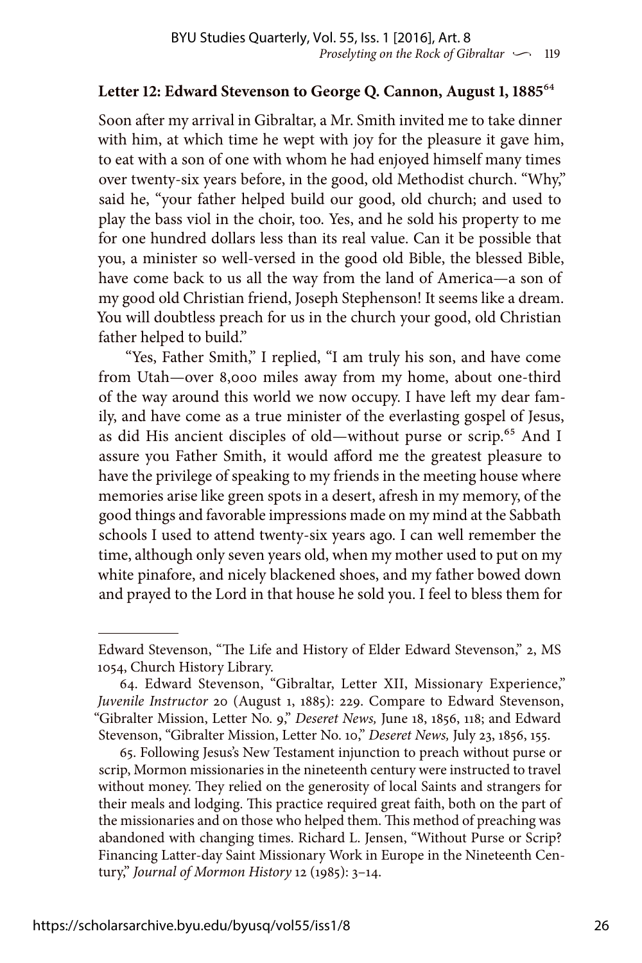#### **Letter 12: Edward Stevenson to George Q. Cannon, August 1, 1885**64

Soon after my arrival in Gibraltar, a Mr. Smith invited me to take dinner with him, at which time he wept with joy for the pleasure it gave him, to eat with a son of one with whom he had enjoyed himself many times over twenty-six years before, in the good, old Methodist church. "Why," said he, "your father helped build our good, old church; and used to play the bass viol in the choir, too. Yes, and he sold his property to me for one hundred dollars less than its real value. Can it be possible that you, a minister so well-versed in the good old Bible, the blessed Bible, have come back to us all the way from the land of America—a son of my good old Christian friend, Joseph Stephenson! It seems like a dream. You will doubtless preach for us in the church your good, old Christian father helped to build."

 "Yes, Father Smith," I replied, "I am truly his son, and have come from Utah—over 8,000 miles away from my home, about one-third of the way around this world we now occupy. I have left my dear family, and have come as a true minister of the everlasting gospel of Jesus, as did His ancient disciples of old—without purse or scrip.<sup>65</sup> And I assure you Father Smith, it would afford me the greatest pleasure to have the privilege of speaking to my friends in the meeting house where memories arise like green spots in a desert, afresh in my memory, of the good things and favorable impressions made on my mind at the Sabbath schools I used to attend twenty-six years ago. I can well remember the time, although only seven years old, when my mother used to put on my white pinafore, and nicely blackened shoes, and my father bowed down and prayed to the Lord in that house he sold you. I feel to bless them for

Edward Stevenson, "The Life and History of Elder Edward Stevenson," 2, MS 1054, Church History Library.

<sup>64.</sup> Edward Stevenson, "Gibraltar, Letter XII, Missionary Experience," *Juvenile Instructor* 20 (August 1, 1885): 229. Compare to Edward Stevenson, "Gibralter Mission, Letter No. 9," *Deseret News,* June 18, 1856, 118; and Edward Stevenson, "Gibralter Mission, Letter No. 10," *Deseret News,* July 23, 1856, 155.

<sup>65.</sup> Following Jesus's New Testament injunction to preach without purse or scrip, Mormon missionaries in the nineteenth century were instructed to travel without money. They relied on the generosity of local Saints and strangers for their meals and lodging. This practice required great faith, both on the part of the missionaries and on those who helped them. This method of preaching was abandoned with changing times. Richard L. Jensen, "Without Purse or Scrip? Financing Latter-day Saint Missionary Work in Europe in the Nineteenth Century," *Journal of Mormon History* 12 (1985): 3–14.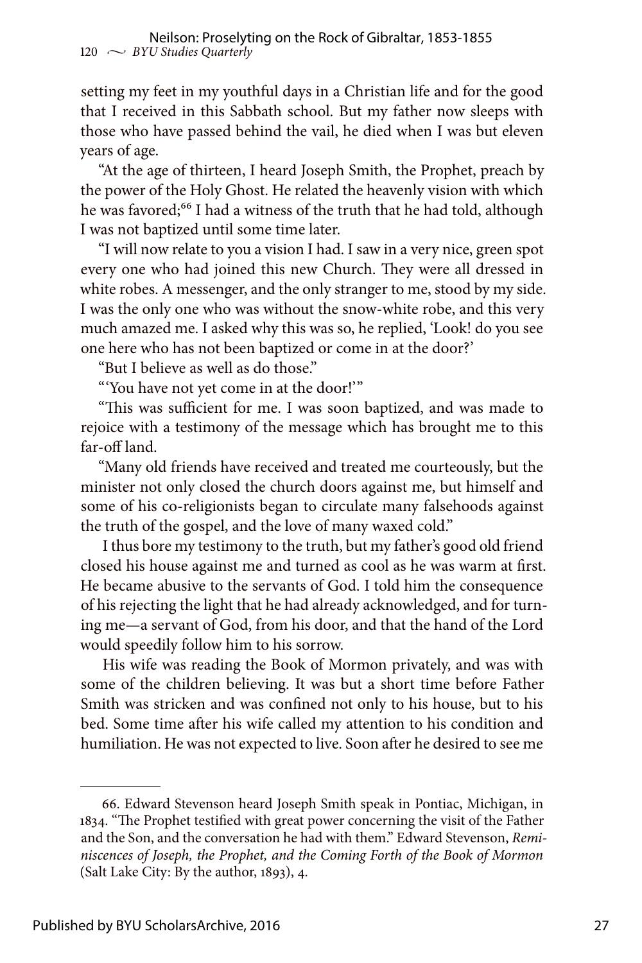setting my feet in my youthful days in a Christian life and for the good that I received in this Sabbath school. But my father now sleeps with those who have passed behind the vail, he died when I was but eleven years of age.

"At the age of thirteen, I heard Joseph Smith, the Prophet, preach by the power of the Holy Ghost. He related the heavenly vision with which he was favored;<sup>66</sup> I had a witness of the truth that he had told, although I was not baptized until some time later.

"I will now relate to you a vision I had. I saw in a very nice, green spot every one who had joined this new Church. They were all dressed in white robes. A messenger, and the only stranger to me, stood by my side. I was the only one who was without the snow-white robe, and this very much amazed me. I asked why this was so, he replied, 'Look! do you see one here who has not been baptized or come in at the door?'

"But I believe as well as do those."

"'You have not yet come in at the door!'"

"This was sufficient for me. I was soon baptized, and was made to rejoice with a testimony of the message which has brought me to this far-off land.

"Many old friends have received and treated me courteously, but the minister not only closed the church doors against me, but himself and some of his co-religionists began to circulate many falsehoods against the truth of the gospel, and the love of many waxed cold."

I thus bore my testimony to the truth, but my father's good old friend closed his house against me and turned as cool as he was warm at first. He became abusive to the servants of God. I told him the consequence of his rejecting the light that he had already acknowledged, and for turning me—a servant of God, from his door, and that the hand of the Lord would speedily follow him to his sorrow.

His wife was reading the Book of Mormon privately, and was with some of the children believing. It was but a short time before Father Smith was stricken and was confined not only to his house, but to his bed. Some time after his wife called my attention to his condition and humiliation. He was not expected to live. Soon after he desired to see me

<sup>66.</sup> Edward Stevenson heard Joseph Smith speak in Pontiac, Michigan, in 1834. "The Prophet testified with great power concerning the visit of the Father and the Son, and the conversation he had with them." Edward Stevenson, *Reminiscences of Joseph, the Prophet, and the Coming Forth of the Book of Mormon*  (Salt Lake City: By the author, 1893), 4.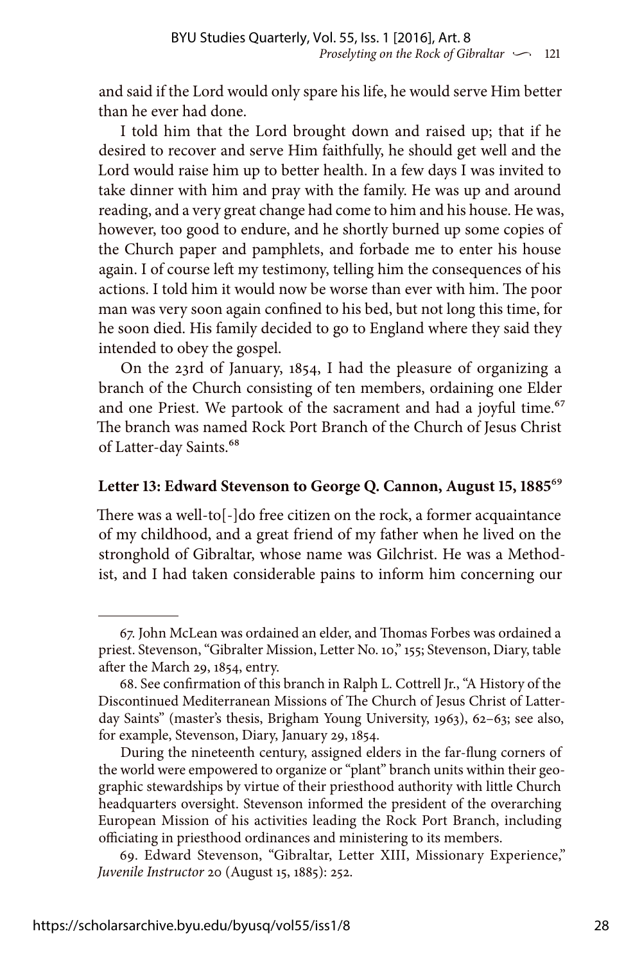and said if the Lord would only spare his life, he would serve Him better than he ever had done.

I told him that the Lord brought down and raised up; that if he desired to recover and serve Him faithfully, he should get well and the Lord would raise him up to better health. In a few days I was invited to take dinner with him and pray with the family. He was up and around reading, and a very great change had come to him and his house. He was, however, too good to endure, and he shortly burned up some copies of the Church paper and pamphlets, and forbade me to enter his house again. I of course left my testimony, telling him the consequences of his actions. I told him it would now be worse than ever with him. The poor man was very soon again confined to his bed, but not long this time, for he soon died. His family decided to go to England where they said they intended to obey the gospel.

On the 23rd of January, 1854, I had the pleasure of organizing a branch of the Church consisting of ten members, ordaining one Elder and one Priest. We partook of the sacrament and had a joyful time.<sup>67</sup> The branch was named Rock Port Branch of the Church of Jesus Christ of Latter-day Saints.<sup>68</sup>

#### **Letter 13: Edward Stevenson to George Q. Cannon, August 15, 1885**69

There was a well-to[-]do free citizen on the rock, a former acquaintance of my childhood, and a great friend of my father when he lived on the stronghold of Gibraltar, whose name was Gilchrist. He was a Methodist, and I had taken considerable pains to inform him concerning our

<sup>67.</sup> John McLean was ordained an elder, and Thomas Forbes was ordained a priest. Stevenson, "Gibralter Mission, Letter No. 10," 155; Stevenson, Diary, table after the March 29, 1854, entry.

<sup>68.</sup> See confirmation of this branch in Ralph L. Cottrell Jr., "A History of the Discontinued Mediterranean Missions of The Church of Jesus Christ of Latterday Saints" (master's thesis, Brigham Young University, 1963), 62–63; see also, for example, Stevenson, Diary, January 29, 1854.

During the nineteenth century, assigned elders in the far-flung corners of the world were empowered to organize or "plant" branch units within their geographic stewardships by virtue of their priesthood authority with little Church headquarters oversight. Stevenson informed the president of the overarching European Mission of his activities leading the Rock Port Branch, including officiating in priesthood ordinances and ministering to its members.

<sup>69.</sup> Edward Stevenson, "Gibraltar, Letter XIII, Missionary Experience," *Juvenile Instructor* 20 (August 15, 1885): 252.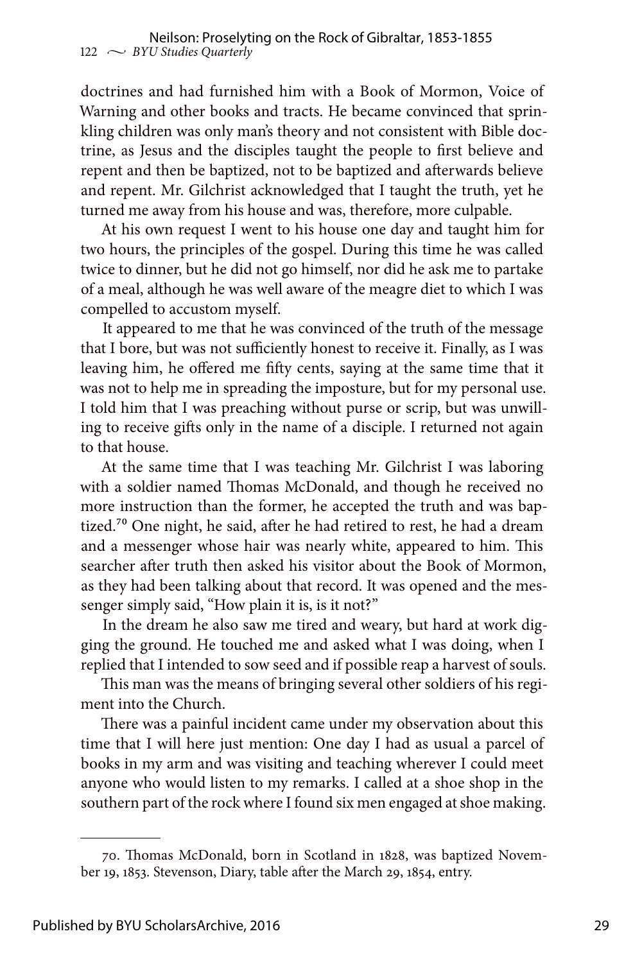doctrines and had furnished him with a Book of Mormon, Voice of Warning and other books and tracts. He became convinced that sprinkling children was only man's theory and not consistent with Bible doctrine, as Jesus and the disciples taught the people to first believe and repent and then be baptized, not to be baptized and afterwards believe and repent. Mr. Gilchrist acknowledged that I taught the truth, yet he turned me away from his house and was, therefore, more culpable.

At his own request I went to his house one day and taught him for two hours, the principles of the gospel. During this time he was called twice to dinner, but he did not go himself, nor did he ask me to partake of a meal, although he was well aware of the meagre diet to which I was compelled to accustom myself.

It appeared to me that he was convinced of the truth of the message that I bore, but was not sufficiently honest to receive it. Finally, as I was leaving him, he offered me fifty cents, saying at the same time that it was not to help me in spreading the imposture, but for my personal use. I told him that I was preaching without purse or scrip, but was unwilling to receive gifts only in the name of a disciple. I returned not again to that house.

At the same time that I was teaching Mr. Gilchrist I was laboring with a soldier named Thomas McDonald, and though he received no more instruction than the former, he accepted the truth and was baptized.<sup>70</sup> One night, he said, after he had retired to rest, he had a dream and a messenger whose hair was nearly white, appeared to him. This searcher after truth then asked his visitor about the Book of Mormon, as they had been talking about that record. It was opened and the messenger simply said, "How plain it is, is it not?"

In the dream he also saw me tired and weary, but hard at work digging the ground. He touched me and asked what I was doing, when I replied that I intended to sow seed and if possible reap a harvest of souls.

This man was the means of bringing several other soldiers of his regiment into the Church.

There was a painful incident came under my observation about this time that I will here just mention: One day I had as usual a parcel of books in my arm and was visiting and teaching wherever I could meet anyone who would listen to my remarks. I called at a shoe shop in the southern part of the rock where I found six men engaged at shoe making.

<sup>70.</sup> Thomas McDonald, born in Scotland in 1828, was baptized November 19, 1853. Stevenson, Diary, table after the March 29, 1854, entry.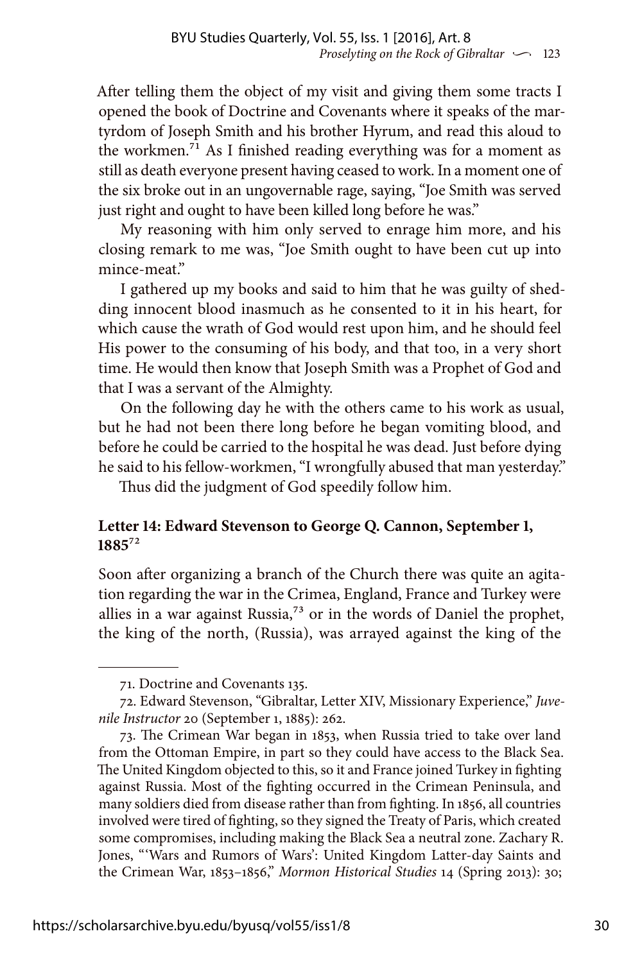After telling them the object of my visit and giving them some tracts I opened the book of Doctrine and Covenants where it speaks of the martyrdom of Joseph Smith and his brother Hyrum, and read this aloud to the workmen.71 As I finished reading everything was for a moment as still as death everyone present having ceased to work. In a moment one of the six broke out in an ungovernable rage, saying, "Joe Smith was served just right and ought to have been killed long before he was."

My reasoning with him only served to enrage him more, and his closing remark to me was, "Joe Smith ought to have been cut up into mince-meat."

I gathered up my books and said to him that he was guilty of shedding innocent blood inasmuch as he consented to it in his heart, for which cause the wrath of God would rest upon him, and he should feel His power to the consuming of his body, and that too, in a very short time. He would then know that Joseph Smith was a Prophet of God and that I was a servant of the Almighty.

On the following day he with the others came to his work as usual, but he had not been there long before he began vomiting blood, and before he could be carried to the hospital he was dead. Just before dying he said to his fellow-workmen, "I wrongfully abused that man yesterday."

Thus did the judgment of God speedily follow him.

#### **Letter 14: Edward Stevenson to George Q. Cannon, September 1, 1885**72

Soon after organizing a branch of the Church there was quite an agitation regarding the war in the Crimea, England, France and Turkey were allies in a war against Russia, $7<sup>3</sup>$  or in the words of Daniel the prophet, the king of the north, (Russia), was arrayed against the king of the

<sup>71.</sup> Doctrine and Covenants 135.

<sup>72.</sup> Edward Stevenson, "Gibraltar, Letter XIV, Missionary Experience," *Juvenile Instructor* 20 (September 1, 1885): 262.

<sup>73.</sup> The Crimean War began in 1853, when Russia tried to take over land from the Ottoman Empire, in part so they could have access to the Black Sea. The United Kingdom objected to this, so it and France joined Turkey in fighting against Russia. Most of the fighting occurred in the Crimean Peninsula, and many soldiers died from disease rather than from fighting. In 1856, all countries involved were tired of fighting, so they signed the Treaty of Paris, which created some compromises, including making the Black Sea a neutral zone. Zachary R. Jones, "'Wars and Rumors of Wars': United Kingdom Latter-day Saints and the Crimean War, 1853–1856," *Mormon Historical Studies* 14 (Spring 2013): 30;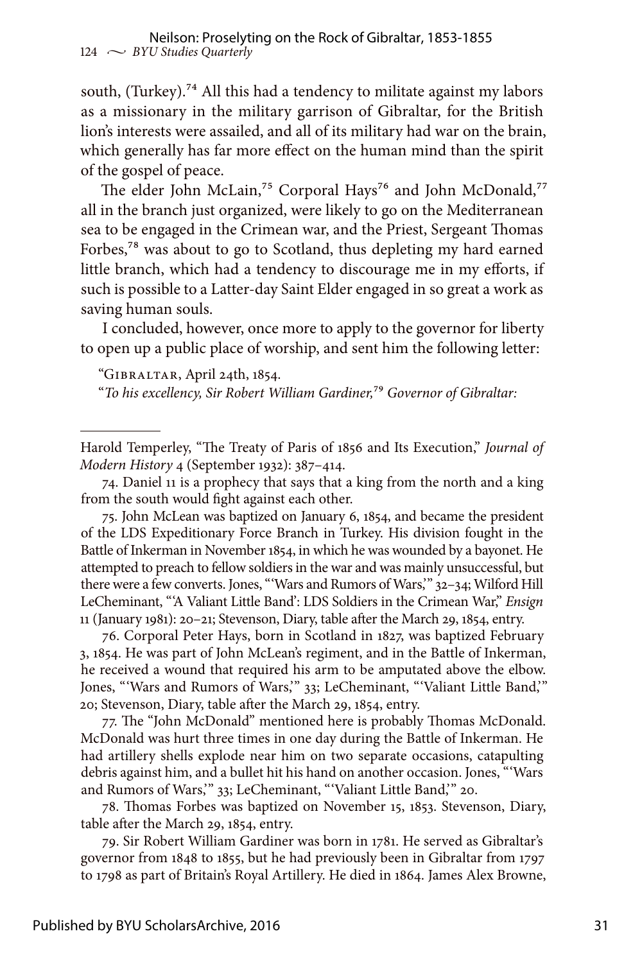south, (Turkey).<sup>74</sup> All this had a tendency to militate against my labors as a missionary in the military garrison of Gibraltar, for the British lion's interests were assailed, and all of its military had war on the brain, which generally has far more effect on the human mind than the spirit of the gospel of peace.

The elder John McLain,<sup>75</sup> Corporal Hays<sup>76</sup> and John McDonald,<sup>77</sup> all in the branch just organized, were likely to go on the Mediterranean sea to be engaged in the Crimean war, and the Priest, Sergeant Thomas Forbes,78 was about to go to Scotland, thus depleting my hard earned little branch, which had a tendency to discourage me in my efforts, if such is possible to a Latter-day Saint Elder engaged in so great a work as saving human souls.

I concluded, however, once more to apply to the governor for liberty to open up a public place of worship, and sent him the following letter:

"Gibraltar, April 24th, 1854.

"*To his excellency, Sir Robert William Gardiner,*79 *Governor of Gibraltar:*

76. Corporal Peter Hays, born in Scotland in 1827, was baptized February 3, 1854. He was part of John McLean's regiment, and in the Battle of Inkerman, he received a wound that required his arm to be amputated above the elbow. Jones, "'Wars and Rumors of Wars,'" 33; LeCheminant, "'Valiant Little Band,'" 20; Stevenson, Diary, table after the March 29, 1854, entry.

77. The "John McDonald" mentioned here is probably Thomas McDonald. McDonald was hurt three times in one day during the Battle of Inkerman. He had artillery shells explode near him on two separate occasions, catapulting debris against him, and a bullet hit his hand on another occasion. Jones, "'Wars and Rumors of Wars,'" 33; LeCheminant, "'Valiant Little Band,'" 20.

78. Thomas Forbes was baptized on November 15, 1853. Stevenson, Diary, table after the March 29, 1854, entry.

79. Sir Robert William Gardiner was born in 1781. He served as Gibraltar's governor from 1848 to 1855, but he had previously been in Gibraltar from 1797 to 1798 as part of Britain's Royal Artillery. He died in 1864. James Alex Browne,

Harold Temperley, "The Treaty of Paris of 1856 and Its Execution," *Journal of Modern History* 4 (September 1932): 387–414.

<sup>74.</sup> Daniel 11 is a prophecy that says that a king from the north and a king from the south would fight against each other.

<sup>75.</sup> John McLean was baptized on January 6, 1854, and became the president of the LDS Expeditionary Force Branch in Turkey. His division fought in the Battle of Inkerman in November 1854, in which he was wounded by a bayonet. He attempted to preach to fellow soldiers in the war and was mainly unsuccessful, but there were a few converts. Jones, "'Wars and Rumors of Wars,'" 32–34; Wilford Hill LeCheminant, "'A Valiant Little Band': LDS Soldiers in the Crimean War," *Ensign*  11 (January 1981): 20–21; Stevenson, Diary, table after the March 29, 1854, entry.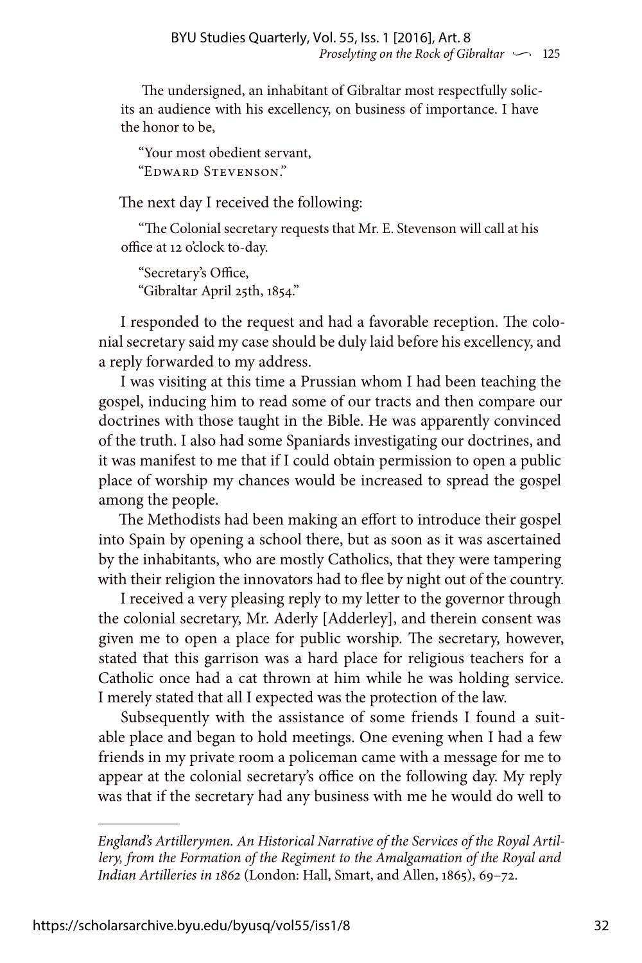The undersigned, an inhabitant of Gibraltar most respectfully solicits an audience with his excellency, on business of importance. I have the honor to be,

"Your most obedient servant, "Edward Stevenson."

The next day I received the following:

"The Colonial secretary requests that Mr. E. Stevenson will call at his office at 12 o'clock to-day.

"Secretary's Office, "Gibraltar April 25th, 1854."

I responded to the request and had a favorable reception. The colonial secretary said my case should be duly laid before his excellency, and a reply forwarded to my address.

I was visiting at this time a Prussian whom I had been teaching the gospel, inducing him to read some of our tracts and then compare our doctrines with those taught in the Bible. He was apparently convinced of the truth. I also had some Spaniards investigating our doctrines, and it was manifest to me that if I could obtain permission to open a public place of worship my chances would be increased to spread the gospel among the people.

The Methodists had been making an effort to introduce their gospel into Spain by opening a school there, but as soon as it was ascertained by the inhabitants, who are mostly Catholics, that they were tampering with their religion the innovators had to flee by night out of the country.

I received a very pleasing reply to my letter to the governor through the colonial secretary, Mr. Aderly [Adderley], and therein consent was given me to open a place for public worship. The secretary, however, stated that this garrison was a hard place for religious teachers for a Catholic once had a cat thrown at him while he was holding service. I merely stated that all I expected was the protection of the law.

Subsequently with the assistance of some friends I found a suitable place and began to hold meetings. One evening when I had a few friends in my private room a policeman came with a message for me to appear at the colonial secretary's office on the following day. My reply was that if the secretary had any business with me he would do well to

*England's Artillerymen. An Historical Narrative of the Services of the Royal Artillery, from the Formation of the Regiment to the Amalgamation of the Royal and Indian Artilleries in 1862* (London: Hall, Smart, and Allen, 1865), 69–72.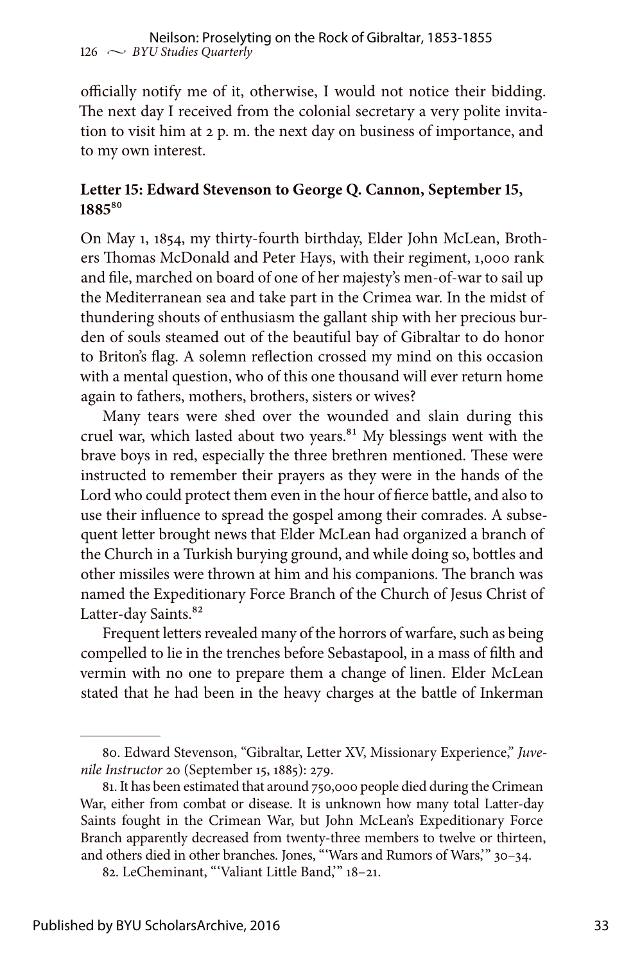officially notify me of it, otherwise, I would not notice their bidding. The next day I received from the colonial secretary a very polite invitation to visit him at 2 p. m. the next day on business of importance, and to my own interest.

#### **Letter 15: Edward Stevenson to George Q. Cannon, September 15, 1885**80

On May 1, 1854, my thirty-fourth birthday, Elder John McLean, Brothers Thomas McDonald and Peter Hays, with their regiment, 1,000 rank and file, marched on board of one of her majesty's men-of-war to sail up the Mediterranean sea and take part in the Crimea war. In the midst of thundering shouts of enthusiasm the gallant ship with her precious burden of souls steamed out of the beautiful bay of Gibraltar to do honor to Briton's flag. A solemn reflection crossed my mind on this occasion with a mental question, who of this one thousand will ever return home again to fathers, mothers, brothers, sisters or wives?

Many tears were shed over the wounded and slain during this cruel war, which lasted about two years.<sup>81</sup> My blessings went with the brave boys in red, especially the three brethren mentioned. These were instructed to remember their prayers as they were in the hands of the Lord who could protect them even in the hour of fierce battle, and also to use their influence to spread the gospel among their comrades. A subsequent letter brought news that Elder McLean had organized a branch of the Church in a Turkish burying ground, and while doing so, bottles and other missiles were thrown at him and his companions. The branch was named the Expeditionary Force Branch of the Church of Jesus Christ of Latter-day Saints.<sup>82</sup>

Frequent letters revealed many of the horrors of warfare, such as being compelled to lie in the trenches before Sebastapool, in a mass of filth and vermin with no one to prepare them a change of linen. Elder McLean stated that he had been in the heavy charges at the battle of Inkerman

<sup>80.</sup> Edward Stevenson, "Gibraltar, Letter XV, Missionary Experience," *Juvenile Instructor* 20 (September 15, 1885): 279.

<sup>81.</sup> It has been estimated that around 750,000 people died during the Crimean War, either from combat or disease. It is unknown how many total Latter-day Saints fought in the Crimean War, but John McLean's Expeditionary Force Branch apparently decreased from twenty-three members to twelve or thirteen, and others died in other branches. Jones, "'Wars and Rumors of Wars,'" 30–34.

<sup>82.</sup> LeCheminant, "'Valiant Little Band,'" 18–21.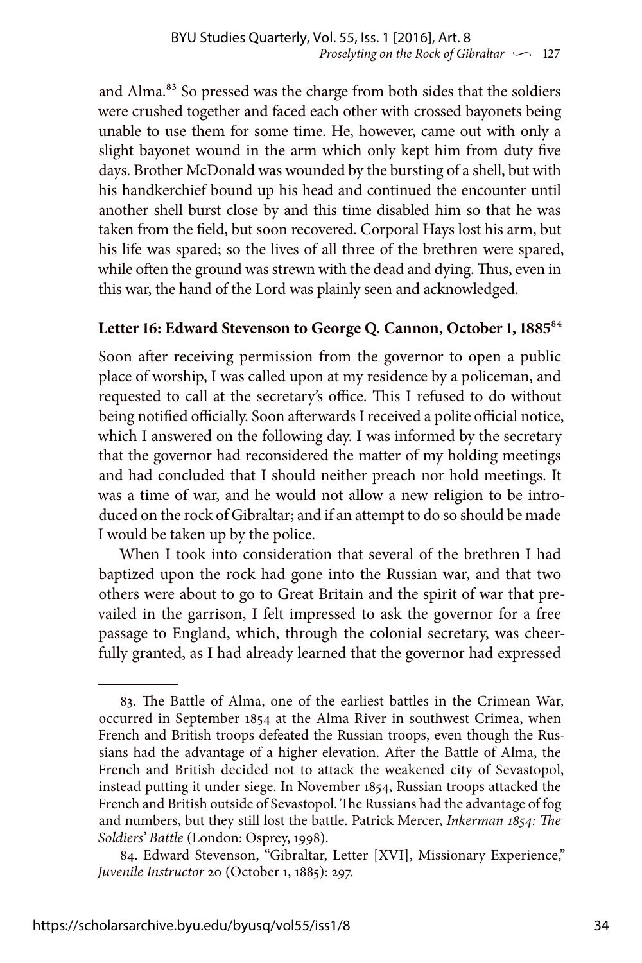and Alma.<sup>83</sup> So pressed was the charge from both sides that the soldiers were crushed together and faced each other with crossed bayonets being unable to use them for some time. He, however, came out with only a slight bayonet wound in the arm which only kept him from duty five days. Brother McDonald was wounded by the bursting of a shell, but with his handkerchief bound up his head and continued the encounter until another shell burst close by and this time disabled him so that he was taken from the field, but soon recovered. Corporal Hays lost his arm, but his life was spared; so the lives of all three of the brethren were spared, while often the ground was strewn with the dead and dying. Thus, even in this war, the hand of the Lord was plainly seen and acknowledged.

#### **Letter 16: Edward Stevenson to George Q. Cannon, October 1, 1885**84

Soon after receiving permission from the governor to open a public place of worship, I was called upon at my residence by a policeman, and requested to call at the secretary's office. This I refused to do without being notified officially. Soon afterwards I received a polite official notice, which I answered on the following day. I was informed by the secretary that the governor had reconsidered the matter of my holding meetings and had concluded that I should neither preach nor hold meetings. It was a time of war, and he would not allow a new religion to be introduced on the rock of Gibraltar; and if an attempt to do so should be made I would be taken up by the police.

When I took into consideration that several of the brethren I had baptized upon the rock had gone into the Russian war, and that two others were about to go to Great Britain and the spirit of war that prevailed in the garrison, I felt impressed to ask the governor for a free passage to England, which, through the colonial secretary, was cheerfully granted, as I had already learned that the governor had expressed

<sup>83.</sup> The Battle of Alma, one of the earliest battles in the Crimean War, occurred in September 1854 at the Alma River in southwest Crimea, when French and British troops defeated the Russian troops, even though the Russians had the advantage of a higher elevation. After the Battle of Alma, the French and British decided not to attack the weakened city of Sevastopol, instead putting it under siege. In November 1854, Russian troops attacked the French and British outside of Sevastopol. The Russians had the advantage of fog and numbers, but they still lost the battle. Patrick Mercer, *Inkerman 1854: The Soldiers' Battle* (London: Osprey, 1998).

<sup>84.</sup> Edward Stevenson, "Gibraltar, Letter [XVI], Missionary Experience," *Juvenile Instructor* 20 (October 1, 1885): 297.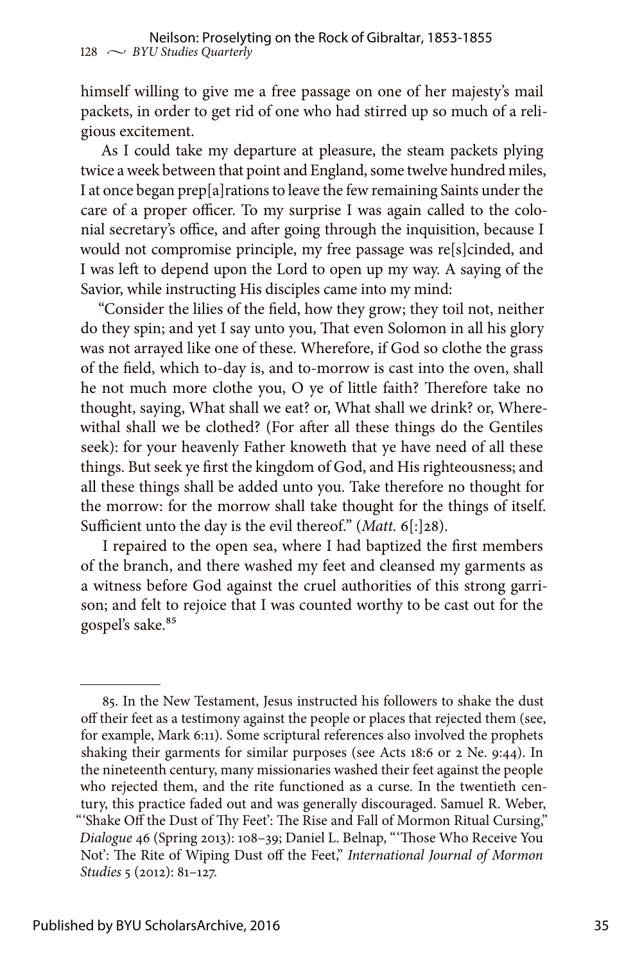himself willing to give me a free passage on one of her majesty's mail packets, in order to get rid of one who had stirred up so much of a religious excitement.

As I could take my departure at pleasure, the steam packets plying twice a week between that point and England, some twelve hundred miles, I at once began prep[a]rations to leave the few remaining Saints under the care of a proper officer. To my surprise I was again called to the colonial secretary's office, and after going through the inquisition, because I would not compromise principle, my free passage was re[s]cinded, and I was left to depend upon the Lord to open up my way. A saying of the Savior, while instructing His disciples came into my mind:

"Consider the lilies of the field, how they grow; they toil not, neither do they spin; and yet I say unto you, That even Solomon in all his glory was not arrayed like one of these. Wherefore, if God so clothe the grass of the field, which to-day is, and to-morrow is cast into the oven, shall he not much more clothe you, O ye of little faith? Therefore take no thought, saying, What shall we eat? or, What shall we drink? or, Wherewithal shall we be clothed? (For after all these things do the Gentiles seek): for your heavenly Father knoweth that ye have need of all these things. But seek ye first the kingdom of God, and His righteousness; and all these things shall be added unto you. Take therefore no thought for the morrow: for the morrow shall take thought for the things of itself. Sufficient unto the day is the evil thereof." (*Matt.* 6[:]28).

I repaired to the open sea, where I had baptized the first members of the branch, and there washed my feet and cleansed my garments as a witness before God against the cruel authorities of this strong garrison; and felt to rejoice that I was counted worthy to be cast out for the gospel's sake.<sup>85</sup>

<sup>85.</sup> In the New Testament, Jesus instructed his followers to shake the dust off their feet as a testimony against the people or places that rejected them (see, for example, Mark 6:11). Some scriptural references also involved the prophets shaking their garments for similar purposes (see Acts 18:6 or 2 Ne. 9:44). In the nineteenth century, many missionaries washed their feet against the people who rejected them, and the rite functioned as a curse. In the twentieth century, this practice faded out and was generally discouraged. Samuel R. Weber, "'Shake Off the Dust of Thy Feet': The Rise and Fall of Mormon Ritual Cursing," *Dialogue* 46 (Spring 2013): 108–39; Daniel L. Belnap, "'Those Who Receive You Not': The Rite of Wiping Dust off the Feet," *International Journal of Mormon Studies* 5 (2012): 81–127.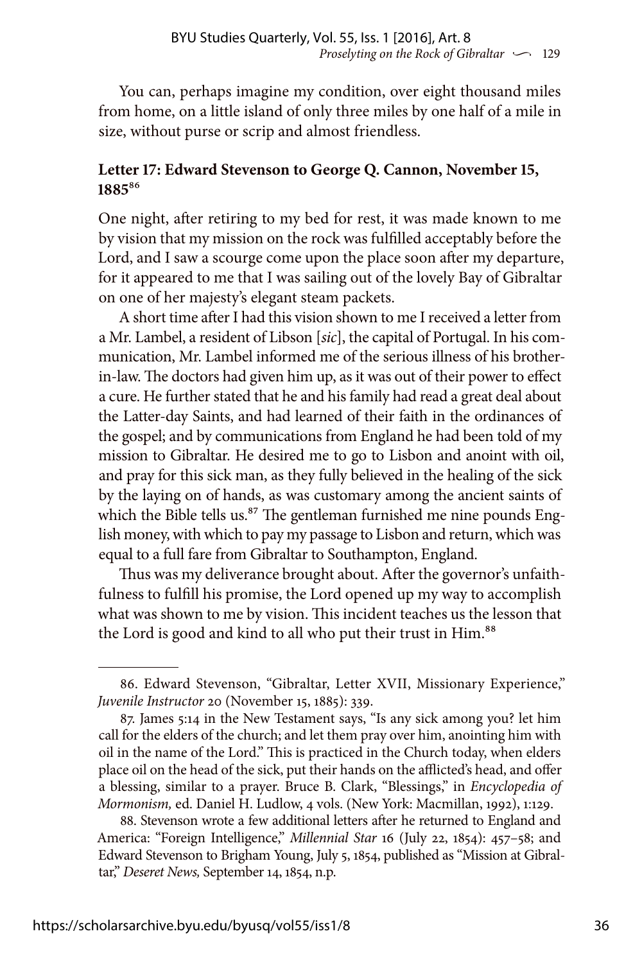You can, perhaps imagine my condition, over eight thousand miles from home, on a little island of only three miles by one half of a mile in size, without purse or scrip and almost friendless.

#### **Letter 17: Edward Stevenson to George Q. Cannon, November 15, 1885**86

One night, after retiring to my bed for rest, it was made known to me by vision that my mission on the rock was fulfilled acceptably before the Lord, and I saw a scourge come upon the place soon after my departure, for it appeared to me that I was sailing out of the lovely Bay of Gibraltar on one of her majesty's elegant steam packets.

A short time after I had this vision shown to me I received a letter from a Mr. Lambel, a resident of Libson [*sic*], the capital of Portugal. In his communication, Mr. Lambel informed me of the serious illness of his brotherin-law. The doctors had given him up, as it was out of their power to effect a cure. He further stated that he and his family had read a great deal about the Latter-day Saints, and had learned of their faith in the ordinances of the gospel; and by communications from England he had been told of my mission to Gibraltar. He desired me to go to Lisbon and anoint with oil, and pray for this sick man, as they fully believed in the healing of the sick by the laying on of hands, as was customary among the ancient saints of which the Bible tells us.<sup>87</sup> The gentleman furnished me nine pounds English money, with which to pay my passage to Lisbon and return, which was equal to a full fare from Gibraltar to Southampton, England.

Thus was my deliverance brought about. After the governor's unfaithfulness to fulfill his promise, the Lord opened up my way to accomplish what was shown to me by vision. This incident teaches us the lesson that the Lord is good and kind to all who put their trust in Him.<sup>88</sup>

88. Stevenson wrote a few additional letters after he returned to England and America: "Foreign Intelligence," *Millennial Star* 16 (July 22, 1854): 457–58; and Edward Stevenson to Brigham Young, July 5, 1854, published as "Mission at Gibraltar," *Deseret News,* September 14, 1854, n.p.

<sup>86.</sup> Edward Stevenson, "Gibraltar, Letter XVII, Missionary Experience," *Juvenile Instructor* 20 (November 15, 1885): 339.

<sup>87.</sup> James 5:14 in the New Testament says, "Is any sick among you? let him call for the elders of the church; and let them pray over him, anointing him with oil in the name of the Lord." This is practiced in the Church today, when elders place oil on the head of the sick, put their hands on the afflicted's head, and offer a blessing, similar to a prayer. Bruce B. Clark, "Blessings," in *Encyclopedia of Mormonism,* ed. Daniel H. Ludlow, 4 vols. (New York: Macmillan, 1992), 1:129.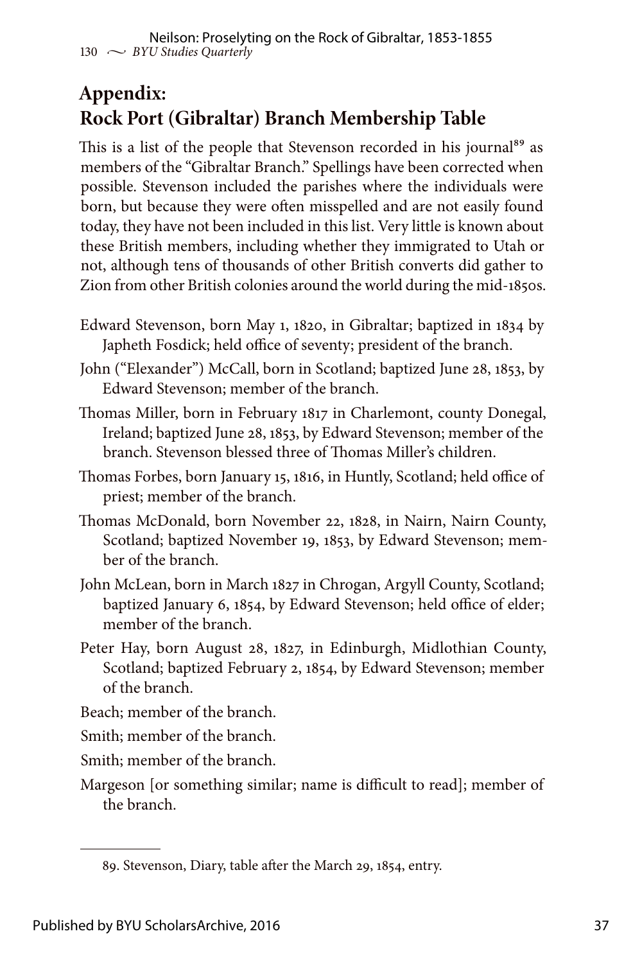### **Appendix: Rock Port (Gibraltar) Branch Membership Table**

This is a list of the people that Stevenson recorded in his journal<sup>89</sup> as members of the "Gibraltar Branch." Spellings have been corrected when possible. Stevenson included the parishes where the individuals were born, but because they were often misspelled and are not easily found today, they have not been included in this list. Very little is known about these British members, including whether they immigrated to Utah or not, although tens of thousands of other British converts did gather to Zion from other British colonies around the world during the mid-1850s.

- Edward Stevenson, born May 1, 1820, in Gibraltar; baptized in 1834 by Japheth Fosdick; held office of seventy; president of the branch.
- John ("Elexander") McCall, born in Scotland; baptized June 28, 1853, by Edward Stevenson; member of the branch.
- Thomas Miller, born in February 1817 in Charlemont, county Donegal, Ireland; baptized June 28, 1853, by Edward Stevenson; member of the branch. Stevenson blessed three of Thomas Miller's children.
- Thomas Forbes, born January 15, 1816, in Huntly, Scotland; held office of priest; member of the branch.
- Thomas McDonald, born November 22, 1828, in Nairn, Nairn County, Scotland; baptized November 19, 1853, by Edward Stevenson; member of the branch.
- John McLean, born in March 1827 in Chrogan, Argyll County, Scotland; baptized January 6, 1854, by Edward Stevenson; held office of elder; member of the branch.
- Peter Hay, born August 28, 1827, in Edinburgh, Midlothian County, Scotland; baptized February 2, 1854, by Edward Stevenson; member of the branch.
- Beach; member of the branch.
- Smith; member of the branch.
- Smith; member of the branch.
- Margeson [or something similar; name is difficult to read]; member of the branch.

<sup>89.</sup> Stevenson, Diary, table after the March 29, 1854, entry.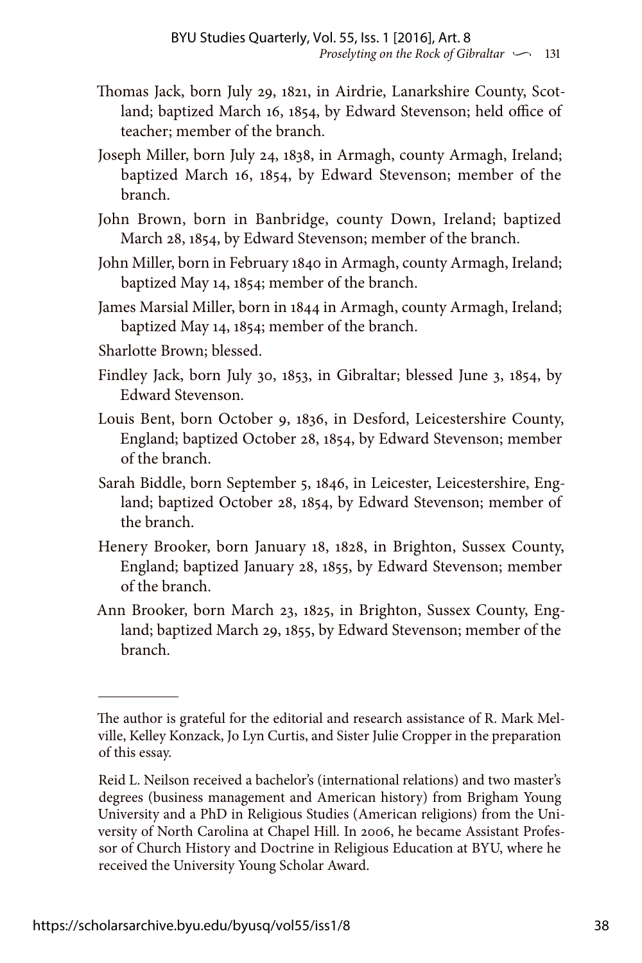- Thomas Jack, born July 29, 1821, in Airdrie, Lanarkshire County, Scotland; baptized March 16, 1854, by Edward Stevenson; held office of teacher; member of the branch.
- Joseph Miller, born July 24, 1838, in Armagh, county Armagh, Ireland; baptized March 16, 1854, by Edward Stevenson; member of the branch.
- John Brown, born in Banbridge, county Down, Ireland; baptized March 28, 1854, by Edward Stevenson; member of the branch.
- John Miller, born in February 1840 in Armagh, county Armagh, Ireland; baptized May 14, 1854; member of the branch.
- James Marsial Miller, born in 1844 in Armagh, county Armagh, Ireland; baptized May 14, 1854; member of the branch.
- Sharlotte Brown; blessed.
- Findley Jack, born July 30, 1853, in Gibraltar; blessed June 3, 1854, by Edward Stevenson.
- Louis Bent, born October 9, 1836, in Desford, Leicestershire County, England; baptized October 28, 1854, by Edward Stevenson; member of the branch.
- Sarah Biddle, born September 5, 1846, in Leicester, Leicestershire, England; baptized October 28, 1854, by Edward Stevenson; member of the branch.
- Henery Brooker, born January 18, 1828, in Brighton, Sussex County, England; baptized January 28, 1855, by Edward Stevenson; member of the branch.
- Ann Brooker, born March 23, 1825, in Brighton, Sussex County, England; baptized March 29, 1855, by Edward Stevenson; member of the branch.

The author is grateful for the editorial and research assistance of R. Mark Melville, Kelley Konzack, Jo Lyn Curtis, and Sister Julie Cropper in the preparation of this essay.

Reid L. Neilson received a bachelor's (international relations) and two master's degrees (business management and American history) from Brigham Young University and a PhD in Religious Studies (American religions) from the University of North Carolina at Chapel Hill. In 2006, he became Assistant Professor of Church History and Doctrine in Religious Education at BYU, where he received the University Young Scholar Award.